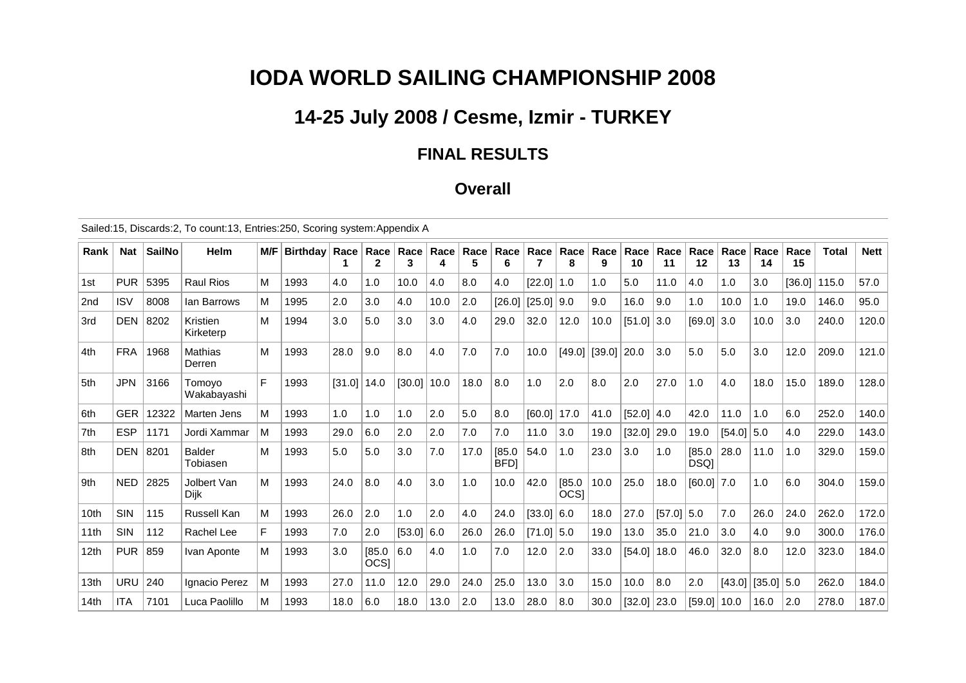# **IODA WORLD SAILING CHAMPIONSHIP 2008**

## **14-25 July 2008 / Cesme, Izmir - TURKEY**

#### **FINAL RESULTS**

#### **Overall**

Sailed:15, Discards:2, To count:13, Entries:250, Scoring system:Appendix A

| Rank            | <b>Nat</b> | <b>SailNo</b> | <b>Helm</b>               | M/F | <b>Birthdav</b> | Race   | Race                       | Race<br>3 | Race | Race<br>5 | Race<br>6            | Race   | Race<br>8      | Race<br>9 | Race<br>10    | Race<br>11 | Race<br>12     | Race<br>13   | Race<br>14      | Race<br>15 | Total | <b>Nett</b> |
|-----------------|------------|---------------|---------------------------|-----|-----------------|--------|----------------------------|-----------|------|-----------|----------------------|--------|----------------|-----------|---------------|------------|----------------|--------------|-----------------|------------|-------|-------------|
| 1st             | <b>PUR</b> | 5395          | <b>Raul Rios</b>          | M   | 1993            | 4.0    | 1.0                        | 10.0      | 4.0  | 8.0       | 4.0                  | [22.0] | 1.0            | 1.0       | 5.0           | 11.0       | 4.0            | 1.0          | 3.0             | [36.0]     | 115.0 | 57.0        |
| 2 <sub>nd</sub> | <b>ISV</b> | 8008          | lan Barrows               | м   | 1995            | 2.0    | 3.0                        | 4.0       | 10.0 | 2.0       | [26.0]               | [25.0] | 9.0            | 9.0       | 16.0          | 9.0        | 1.0            | 10.0         | 1.0             | 19.0       | 146.0 | 95.0        |
| 3rd             | <b>DEN</b> | 8202          | Kristien<br>Kirketerp     | М   | 1994            | 3.0    | 5.0                        | 3.0       | 3.0  | 4.0       | 29.0                 | 32.0   | 12.0           | 10.0      | $[51.0]$ 3.0  |            | $[69.0]$ 3.0   |              | 10.0            | 3.0        | 240.0 | 120.0       |
| 4th             | <b>FRA</b> | 1968          | Mathias<br>Derren         | М   | 1993            | 28.0   | 9.0                        | 8.0       | 4.0  | 7.0       | 7.0                  | 10.0   | [49.0]         | [39.0]    | 20.0          | 3.0        | 5.0            | 5.0          | 3.0             | 12.0       | 209.0 | 121.0       |
| 5th             | <b>JPN</b> | 3166          | Tomovo<br>Wakabayashi     | F   | 1993            | [31.0] | 14.0                       | [30.0]    | 10.0 | 18.0      | 8.0                  | 1.0    | 2.0            | 8.0       | 2.0           | 27.0       | 1.0            | 4.0          | 18.0            | 15.0       | 189.0 | 128.0       |
| 6th             | <b>GER</b> | 12322         | Marten Jens               | M   | 1993            | 1.0    | 1.0                        | 1.0       | 2.0  | 5.0       | 8.0                  | [60.0] | 17.0           | 41.0      | [52.0]   4.0  |            | 42.0           | 11.0         | 1.0             | 6.0        | 252.0 | 140.0       |
| 7th             | <b>ESP</b> | 1171          | Jordi Xammar              | M   | 1993            | 29.0   | 6.0                        | 2.0       | 2.0  | 7.0       | 7.0                  | 11.0   | 3.0            | 19.0      | [32.0]        | 29.0       | 19.0           | $[54.0]$ 5.0 |                 | 4.0        | 229.0 | 143.0       |
| 8th             | <b>DEN</b> | 8201          | <b>Balder</b><br>Tobiasen | М   | 1993            | 5.0    | 5.0                        | 3.0       | 7.0  | 17.0      | [85.0]<br><b>BFD</b> | 54.0   | 1.0            | 23.0      | 3.0           | 1.0        | [85.0]<br>DSQ] | 28.0         | 11.0            | 1.0        | 329.0 | 159.0       |
| 9th             | <b>NED</b> | 2825          | Jolbert Van<br>Dijk       | M   | 1993            | 24.0   | 8.0                        | 4.0       | 3.0  | 1.0       | 10.0                 | 42.0   | [85.0]<br>OCS] | 10.0      | 25.0          | 18.0       | $[60.0]$ 7.0   |              | 1.0             | 6.0        | 304.0 | 159.0       |
| 10th            | SIN        | 115           | <b>Russell Kan</b>        | M   | 1993            | 26.0   | 2.0                        | 1.0       | 2.0  | 4.0       | 24.0                 | [33.0] | 6.0            | 18.0      | 27.0          | [57.0]     | 5.0            | 7.0          | 26.0            | 24.0       | 262.0 | 172.0       |
| 11th            | SIN        | 112           | Rachel Lee                | F   | 1993            | 7.0    | 2.0                        | [53.0]    | 6.0  | 26.0      | 26.0                 | [71.0] | 5.0            | 19.0      | 13.0          | 35.0       | 21.0           | 3.0          | 4.0             | 9.0        | 300.0 | 176.0       |
| 12th            | <b>PUR</b> | 859           | Ivan Aponte               | м   | 1993            | 3.0    | [85.0]<br>OCS <sub>I</sub> | 6.0       | 4.0  | 1.0       | 7.0                  | 12.0   | 2.0            | 33.0      | [54.0]        | 18.0       | 46.0           | 32.0         | 8.0             | 12.0       | 323.0 | 184.0       |
| 13th            | <b>URU</b> | 240           | Ignacio Perez             | М   | 1993            | 27.0   | 11.0                       | 12.0      | 29.0 | 24.0      | 25.0                 | 13.0   | 3.0            | 15.0      | 10.0          | 8.0        | 2.0            |              | $[43.0]$ [35.0] | 5.0        | 262.0 | 184.0       |
| 14th            | <b>ITA</b> | 7101          | Luca Paolillo             | M   | 1993            | 18.0   | 6.0                        | 18.0      | 13.0 | 2.0       | 13.0                 | 28.0   | 8.0            | 30.0      | $[32.0]$ 23.0 |            | [59.0]   10.0  |              | 16.0            | 2.0        | 278.0 | 187.0       |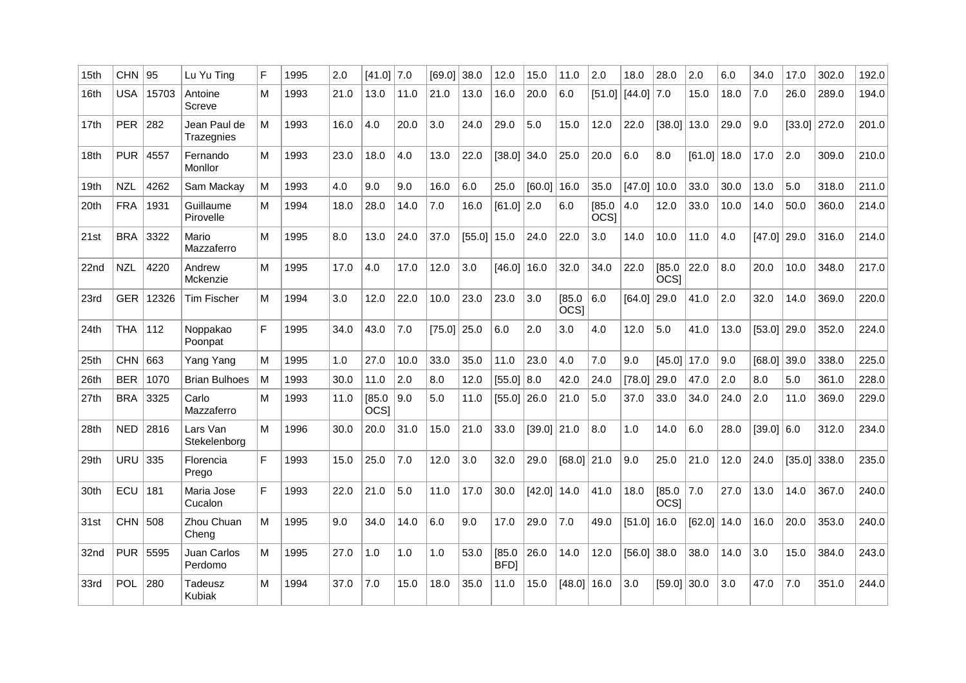| 15 <sub>th</sub> | $CHN$   95 |          | Lu Yu Tina                 | F | 1995 | 2.0  | $[41.0]$ 7.0          |      | F69.01 | 38.0          | 12.0                  | 15.0   | 11.0                       | 2.0                   | 18.0                  | 28.0                  | 2.0    | 6.0  | 34.0          | 17.0   | 302.0          | 192.0 |
|------------------|------------|----------|----------------------------|---|------|------|-----------------------|------|--------|---------------|-----------------------|--------|----------------------------|-----------------------|-----------------------|-----------------------|--------|------|---------------|--------|----------------|-------|
| 16th             | USA        | 15703    | Antoine<br>Screve          | M | 1993 | 21.0 | 13.0                  | 11.0 | 21.0   | 13.0          | 16.0                  | 20.0   | 6.0                        |                       | $[51.0]$ $[44.0]$ 7.0 |                       | 15.0   | 18.0 | 7.0           | 26.0   | 289.0          | 194.0 |
| 17 <sub>th</sub> | <b>PER</b> | 282      | Jean Paul de<br>Trazegnies | M | 1993 | 16.0 | 4.0                   | 20.0 | 3.0    | 24.0          | 29.0                  | 5.0    | 15.0                       | 12.0                  | 22.0                  | $[38.0]$ 13.0         |        | 29.0 | 9.0           | [33.0] | 272.0          | 201.0 |
| 18th             | <b>PUR</b> | 4557     | Fernando<br>Monllor        | М | 1993 | 23.0 | 18.0                  | 4.0  | 13.0   | 22.0          | $[38.0]$ 34.0         |        | 25.0                       | 20.0                  | 6.0                   | 8.0                   | [61.0] | 18.0 | 17.0          | 2.0    | 309.0          | 210.0 |
| 19 <sub>th</sub> | <b>NZL</b> | 4262     | Sam Mackay                 | M | 1993 | 4.0  | 9.0                   | 9.0  | 16.0   | 6.0           | 25.0                  | [60.0] | 16.0                       | 35.0                  | [47.0]                | 10.0                  | 33.0   | 30.0 | 13.0          | 5.0    | 318.0          | 211.0 |
| 20th             | <b>FRA</b> | 1931     | Guillaume<br>Pirovelle     | M | 1994 | 18.0 | 28.0                  | 14.0 | 7.0    | 16.0          | $[61.0]$ 2.0          |        | 6.0                        | [85.0]<br><b>OCSI</b> | 4.0                   | 12.0                  | 33.0   | 10.0 | 14.0          | 50.0   | 360.0          | 214.0 |
| 21st             | <b>BRA</b> | 3322     | Mario<br>Mazzaferro        | M | 1995 | 8.0  | 13.0                  | 24.0 | 37.0   | $[55.0]$ 15.0 |                       | 24.0   | 22.0                       | 3.0                   | 14.0                  | 10.0                  | 11.0   | 4.0  | $[47.0]$ 29.0 |        | 316.0          | 214.0 |
| 22nd             | <b>NZL</b> | 4220     | Andrew<br>Mckenzie         | M | 1995 | 17.0 | 4.0                   | 17.0 | 12.0   | 3.0           | [46.0]                | 16.0   | 32.0                       | 34.0                  | 22.0                  | [85.0]<br><b>OCSI</b> | 22.0   | 8.0  | 20.0          | 10.0   | 348.0          | 217.0 |
| 23rd             | <b>GER</b> | 12326    | <b>Tim Fischer</b>         | M | 1994 | 3.0  | 12.0                  | 22.0 | 10.0   | 23.0          | 23.0                  | 3.0    | [85.0]<br>OCS <sub>1</sub> | 6.0                   | [64.0]                | 29.0                  | 41.0   | 2.0  | 32.0          | 14.0   | 369.0          | 220.0 |
| 24th             | <b>THA</b> | 112      | Noppakao<br>Poonpat        | F | 1995 | 34.0 | 43.0                  | 7.0  | [75.0] | 25.0          | 6.0                   | 2.0    | 3.0                        | 4.0                   | 12.0                  | 5.0                   | 41.0   | 13.0 | $[53.0]$ 29.0 |        | 352.0          | 224.0 |
| 25th             | <b>CHN</b> | 663      | Yang Yang                  | М | 1995 | 1.0  | 27.0                  | 10.0 | 33.0   | 35.0          | 11.0                  | 23.0   | 4.0                        | 7.0                   | 9.0                   | $[45.0]$ 17.0         |        | 9.0  | $[68.0]$ 39.0 |        | 338.0          | 225.0 |
| 26th             | <b>BER</b> | 1070     | <b>Brian Bulhoes</b>       | M | 1993 | 30.0 | 11.0                  | 2.0  | 8.0    | 12.0          | $[55.0]$ 8.0          |        | 42.0                       | 24.0                  | [78.0]                | 29.0                  | 47.0   | 2.0  | 8.0           | 5.0    | 361.0          | 228.0 |
| 27th             | <b>BRA</b> | 3325     | Carlo<br>Mazzaferro        | M | 1993 | 11.0 | [85.0]<br><b>OCSI</b> | 9.0  | 5.0    | 11.0          | [55.0]                | 26.0   | 21.0                       | 5.0                   | 37.0                  | 33.0                  | 34.0   | 24.0 | 2.0           | 11.0   | 369.0          | 229.0 |
| 28th             | NED        | 2816     | Lars Van<br>Stekelenborg   | М | 1996 | 30.0 | 20.0                  | 31.0 | 15.0   | 21.0          | 33.0                  | [39.0] | 21.0                       | 8.0                   | 1.0                   | 14.0                  | 6.0    | 28.0 | $[39.0]$ 6.0  |        | 312.0          | 234.0 |
| 29th             | URU        | 335      | Florencia<br>Prego         | F | 1993 | 15.0 | 25.0                  | 7.0  | 12.0   | 3.0           | 32.0                  | 29.0   | $[68.0]$ 21.0              |                       | 9.0                   | 25.0                  | 21.0   | 12.0 | 24.0          |        | $[35.0]$ 338.0 | 235.0 |
| 30th             | ECU        | 181      | Maria Jose<br>Cucalon      | F | 1993 | 22.0 | 21.0                  | 5.0  | 11.0   | 17.0          | 30.0                  | [42.0] | 14.0                       | 41.0                  | 18.0                  | [85.0]<br><b>OCSI</b> | 7.0    | 27.0 | 13.0          | 14.0   | 367.0          | 240.0 |
| 31st             | CHN 508    |          | Zhou Chuan<br>Cheng        | м | 1995 | 9.0  | 34.0                  | 14.0 | 6.0    | 9.0           | 17.0                  | 29.0   | 7.0                        | 49.0                  | $[51.0]$ 16.0         |                       | [62.0] | 14.0 | 16.0          | 20.0   | 353.0          | 240.0 |
| 32nd             |            | PUR 5595 | Juan Carlos<br>Perdomo     | м | 1995 | 27.0 | 1.0                   | 1.0  | 1.0    | 53.0          | [85.0]<br><b>BFDI</b> | 26.0   | 14.0                       | 12.0                  | $[56.0]$ 38.0         |                       | 38.0   | 14.0 | 3.0           | 15.0   | 384.0          | 243.0 |
| 33rd             | <b>POL</b> | 280      | Tadeusz<br>Kubiak          | M | 1994 | 37.0 | 7.0                   | 15.0 | 18.0   | 35.0          | 11.0                  | 15.0   | $[48.0]$ 16.0              |                       | 3.0                   | $[59.0]$ 30.0         |        | 3.0  | 47.0          | 7.0    | 351.0          | 244.0 |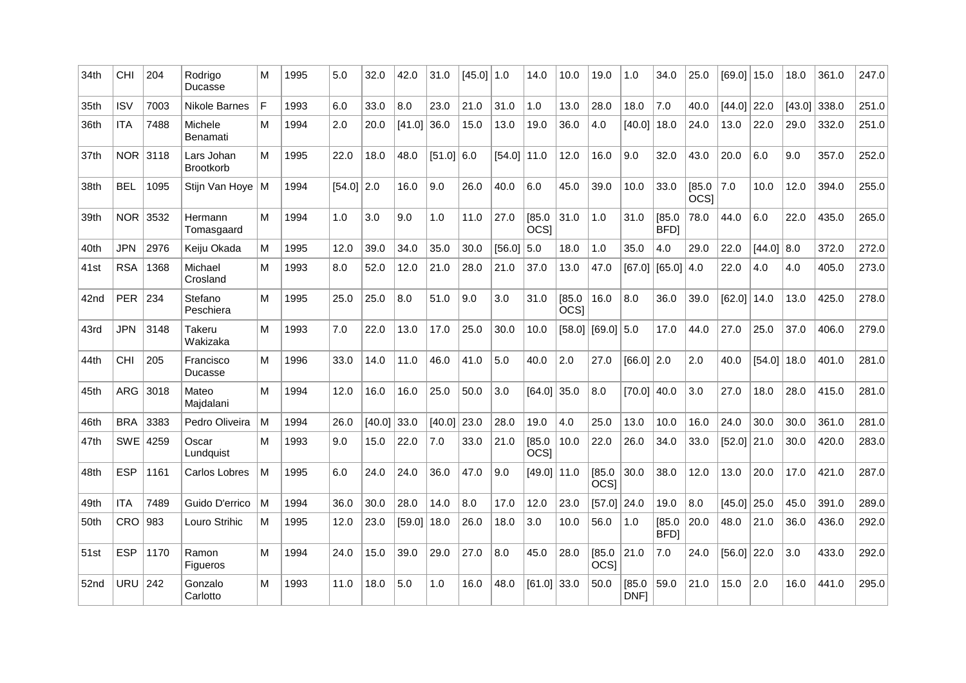| 34th | CHI        | 204  | Rodrigo<br>Ducasse             | M | 1995 | 5.0          | 32.0   | 42.0          | 31.0         | [45.0] | $\vert$ 1.0 | 14.0                  | 10.0                  | 19.0                  | 1.0            | 34.0                  | 25.0                  | [69.0] | 15.0         | 18.0   | 361.0 | 247.0 |
|------|------------|------|--------------------------------|---|------|--------------|--------|---------------|--------------|--------|-------------|-----------------------|-----------------------|-----------------------|----------------|-----------------------|-----------------------|--------|--------------|--------|-------|-------|
| 35th | <b>ISV</b> | 7003 | Nikole Barnes                  | F | 1993 | 6.0          | 33.0   | 8.0           | 23.0         | 21.0   | 31.0        | 1.0                   | 13.0                  | 28.0                  | 18.0           | 7.0                   | 40.0                  | [44.0] | 22.0         | [43.0] | 338.0 | 251.0 |
| 36th | <b>ITA</b> | 7488 | Michele<br>Benamati            | M | 1994 | 2.0          | 20.0   | [41.0]        | 36.0         | 15.0   | 13.0        | 19.0                  | 36.0                  | 4.0                   | [40.0]         | 18.0                  | 24.0                  | 13.0   | 22.0         | 29.0   | 332.0 | 251.0 |
| 37th | NOR 3118   |      | Lars Johan<br><b>Brootkorb</b> | М | 1995 | 22.0         | 18.0   | 48.0          | $[51.0]$ 6.0 |        | [54.0]      | 11.0                  | 12.0                  | 16.0                  | 9.0            | 32.0                  | 43.0                  | 20.0   | 6.0          | 9.0    | 357.0 | 252.0 |
| 38th | <b>BEL</b> | 1095 | Stijn Van Hoye   M             |   | 1994 | $[54.0]$ 2.0 |        | 16.0          | 9.0          | 26.0   | 40.0        | 6.0                   | 45.0                  | 39.0                  | 10.0           | 33.0                  | [85.0]<br><b>OCSI</b> | 7.0    | 10.0         | 12.0   | 394.0 | 255.0 |
| 39th | NOR 3532   |      | Hermann<br>Tomasgaard          | M | 1994 | 1.0          | 3.0    | 9.0           | 1.0          | 11.0   | 27.0        | [85.0]<br><b>OCSI</b> | 31.0                  | 1.0                   | 31.0           | [85.0]<br><b>BFDI</b> | 78.0                  | 44.0   | 6.0          | 22.0   | 435.0 | 265.0 |
| 40th | <b>JPN</b> | 2976 | Keiju Okada                    | м | 1995 | 12.0         | 39.0   | 34.0          | 35.0         | 30.0   | [56.0]      | 5.0                   | 18.0                  | 1.0                   | 35.0           | 4.0                   | 29.0                  | 22.0   | $[44.0]$ 8.0 |        | 372.0 | 272.0 |
| 41st | <b>RSA</b> | 1368 | Michael<br>Crosland            | М | 1993 | 8.0          | 52.0   | 12.0          | 21.0         | 28.0   | 21.0        | 37.0                  | 13.0                  | 47.0                  | [67.0]         | [65.0]   4.0          |                       | 22.0   | 4.0          | 4.0    | 405.0 | 273.0 |
| 42nd | <b>PER</b> | 234  | Stefano<br>Peschiera           | M | 1995 | 25.0         | 25.0   | 8.0           | 51.0         | 9.0    | 3.0         | 31.0                  | [85.0]<br><b>OCSI</b> | 16.0                  | 8.0            | 36.0                  | 39.0                  | [62.0] | 14.0         | 13.0   | 425.0 | 278.0 |
| 43rd | <b>JPN</b> | 3148 | Takeru<br>Wakizaka             | M | 1993 | 7.0          | 22.0   | 13.0          | 17.0         | 25.0   | 30.0        | 10.0                  | [58.0]                | [69.0]                | 5.0            | 17.0                  | 44.0                  | 27.0   | 25.0         | 37.0   | 406.0 | 279.0 |
| 44th | <b>CHI</b> | 205  | Francisco<br>Ducasse           | м | 1996 | 33.0         | 14.0   | 11.0          | 46.0         | 41.0   | 5.0         | 40.0                  | 2.0                   | 27.0                  | $[66.0]$ 2.0   |                       | 2.0                   | 40.0   | [54.0]       | 18.0   | 401.0 | 281.0 |
| 45th | ARG        | 3018 | Mateo<br>Maidalani             | M | 1994 | 12.0         | 16.0   | 16.0          | 25.0         | 50.0   | 3.0         | [64.0]                | 35.0                  | 8.0                   | [70.0]         | 40.0                  | 3.0                   | 27.0   | 18.0         | 28.0   | 415.0 | 281.0 |
| 46th | <b>BRA</b> | 3383 | Pedro Oliveira                 | м | 1994 | 26.0         | [40.0] | 33.0          | [40.0]       | 23.0   | 28.0        | 19.0                  | 4.0                   | 25.0                  | 13.0           | 10.0                  | 16.0                  | 24.0   | 30.0         | 30.0   | 361.0 | 281.0 |
| 47th | <b>SWE</b> | 4259 | Oscar<br>Lundquist             | M | 1993 | 9.0          | 15.0   | 22.0          | 7.0          | 33.0   | 21.0        | [85.0]<br><b>OCSI</b> | 10.0                  | 22.0                  | 26.0           | 34.0                  | 33.0                  | [52.0] | 21.0         | 30.0   | 420.0 | 283.0 |
| 48th | <b>ESP</b> | 1161 | Carlos Lobres                  | M | 1995 | 6.0          | 24.0   | 24.0          | 36.0         | 47.0   | 9.0         | [49.0]                | 11.0                  | [85.0]<br><b>OCSI</b> | 30.0           | 38.0                  | 12.0                  | 13.0   | 20.0         | 17.0   | 421.0 | 287.0 |
| 49th | <b>ITA</b> | 7489 | Guido D'errico                 | M | 1994 | 36.0         | 30.0   | 28.0          | 14.0         | 8.0    | 17.0        | 12.0                  | 23.0                  | [57.0]                | 24.0           | 19.0                  | 8.0                   | [45.0] | 25.0         | 45.0   | 391.0 | 289.0 |
| 50th | <b>CRO</b> | 983  | Louro Strihic                  | м | 1995 | 12.0         | 23.0   | $[59.0]$ 18.0 |              | 26.0   | 18.0        | 3.0                   | 10.0                  | 56.0                  | 1.0            | [85.0]<br><b>BFD</b>  | 20.0                  | 48.0   | 21.0         | 36.0   | 436.0 | 292.0 |
| 51st | <b>ESP</b> | 1170 | Ramon<br>Figueros              | M | 1994 | 24.0         | 15.0   | 39.0          | 29.0         | 27.0   | 8.0         | 45.0                  | 28.0                  | [85.0]<br><b>OCSI</b> | 21.0           | 7.0                   | 24.0                  | [56.0] | 22.0         | 3.0    | 433.0 | 292.0 |
| 52nd | URU        | 242  | Gonzalo<br>Carlotto            | M | 1993 | 11.0         | 18.0   | 5.0           | 1.0          | 16.0   | 48.0        | [61.0]                | 33.0                  | 50.0                  | [85.0]<br>DNF1 | 59.0                  | 21.0                  | 15.0   | 2.0          | 16.0   | 441.0 | 295.0 |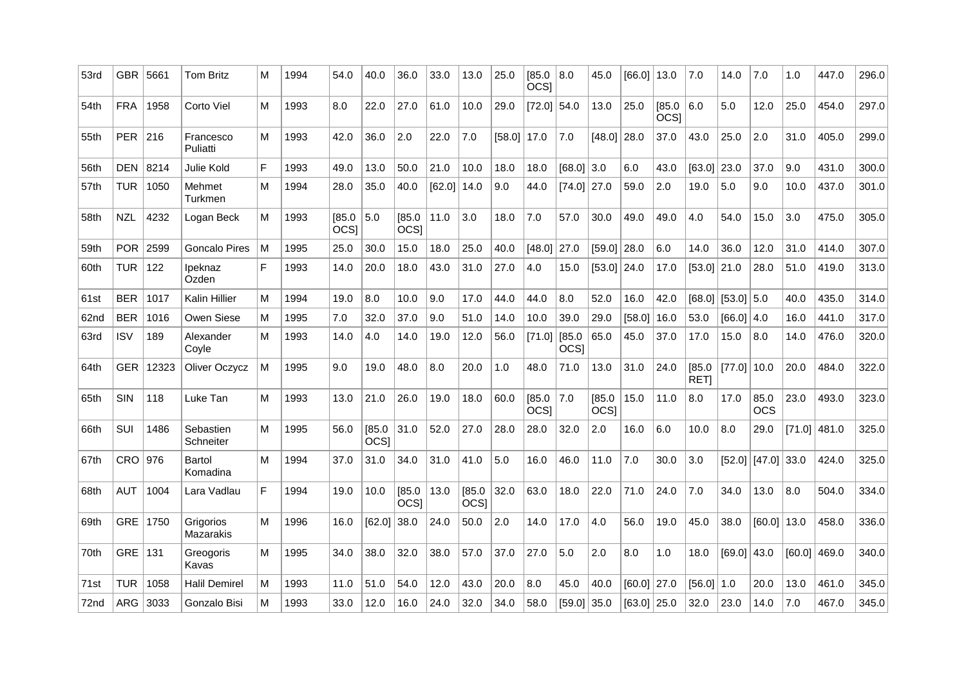| 53rd             | <b>GBR</b> | 5661  | <b>Tom Britz</b>       | М | 1994 | 54.0                       | 40.0                  | 36.0                  | 33.0   | 13.0          | 25.0   | 85.0<br>OCS <sub>1</sub> | 8.0                   | 45.0                  | [66.0]        | 13.0                  | 7.0                   | 14.0          | 7.0                    | 1.0    | 447.0 | 296.0 |
|------------------|------------|-------|------------------------|---|------|----------------------------|-----------------------|-----------------------|--------|---------------|--------|--------------------------|-----------------------|-----------------------|---------------|-----------------------|-----------------------|---------------|------------------------|--------|-------|-------|
| 54th             | <b>FRA</b> | 1958  | Corto Viel             | М | 1993 | 8.0                        | 22.0                  | 27.0                  | 61.0   | 10.0          | 29.0   | $[72.0]$ 54.0            |                       | 13.0                  | 25.0          | [85.0]<br><b>OCSI</b> | 6.0                   | 5.0           | 12.0                   | 25.0   | 454.0 | 297.0 |
| 55th             | <b>PER</b> | 216   | Francesco<br>Puliatti  | м | 1993 | 42.0                       | 36.0                  | 2.0                   | 22.0   | 7.0           | [58.0] | 17.0                     | 7.0                   | [48.0]                | 28.0          | 37.0                  | 43.0                  | 25.0          | 2.0                    | 31.0   | 405.0 | 299.0 |
| 56th             | <b>DEN</b> | 8214  | Julie Kold             | F | 1993 | 49.0                       | 13.0                  | 50.0                  | 21.0   | 10.0          | 18.0   | 18.0                     | $[68.0]$ 3.0          |                       | 6.0           | 43.0                  | [63.0]                | 23.0          | 37.0                   | 9.0    | 431.0 | 300.0 |
| 57th             | <b>TUR</b> | 1050  | Mehmet<br>Turkmen      | M | 1994 | 28.0                       | 35.0                  | 40.0                  | [62.0] | 14.0          | 9.0    | 44.0                     | [74.0]                | 27.0                  | 59.0          | 2.0                   | 19.0                  | 5.0           | 9.0                    | 10.0   | 437.0 | 301.0 |
| 58th             | <b>NZL</b> | 4232  | Logan Beck             | м | 1993 | [85.0]<br>OCS <sub>1</sub> | 5.0                   | [85.0]<br><b>OCSI</b> | 11.0   | 3.0           | 18.0   | 7.0                      | 57.0                  | 30.0                  | 49.0          | 49.0                  | 4.0                   | 54.0          | 15.0                   | 3.0    | 475.0 | 305.0 |
| 59th             | <b>POR</b> | 2599  | <b>Goncalo Pires</b>   | М | 1995 | 25.0                       | 30.0                  | 15.0                  | 18.0   | 25.0          | 40.0   | [48.0]                   | 27.0                  | [59.0]                | 28.0          | 6.0                   | 14.0                  | 36.0          | 12.0                   | 31.0   | 414.0 | 307.0 |
| 60th             | <b>TUR</b> | 122   | Ipeknaz<br>Ozden       | F | 1993 | 14.0                       | 20.0                  | 18.0                  | 43.0   | 31.0          | 27.0   | 4.0                      | 15.0                  | [53.0]                | 24.0          | 17.0                  | [53.0]                | 21.0          | 28.0                   | 51.0   | 419.0 | 313.0 |
| 61 <sub>st</sub> | <b>BER</b> | 1017  | Kalin Hillier          | м | 1994 | 19.0                       | 8.0                   | 10.0                  | 9.0    | 17.0          | 44.0   | 44.0                     | 8.0                   | 52.0                  | 16.0          | 42.0                  | [68.0]                | $[53.0]$ 5.0  |                        | 40.0   | 435.0 | 314.0 |
| 62nd             | <b>BER</b> | 1016  | Owen Siese             | М | 1995 | 7.0                        | 32.0                  | 37.0                  | 9.0    | 51.0          | 14.0   | 10.0                     | 39.0                  | 29.0                  | [58.0]        | 16.0                  | 53.0                  | [66.0]   4.0  |                        | 16.0   | 441.0 | 317.0 |
| 63rd             | <b>ISV</b> | 189   | Alexander<br>Covle     | М | 1993 | 14.0                       | 4.0                   | 14.0                  | 19.0   | 12.0          | 56.0   | [71.0]                   | [85.0]<br><b>OCSI</b> | 65.0                  | 45.0          | 37.0                  | 17.0                  | 15.0          | 8.0                    | 14.0   | 476.0 | 320.0 |
| 64th             | <b>GER</b> | 12323 | Oliver Oczycz          | М | 1995 | 9.0                        | 19.0                  | 48.0                  | 8.0    | 20.0          | 1.0    | 48.0                     | 71.0                  | 13.0                  | 31.0          | 24.0                  | [85.0]<br><b>RETI</b> | $[77.0]$ 10.0 |                        | 20.0   | 484.0 | 322.0 |
| 65th             | SIN        | 118   | Luke Tan               | M | 1993 | 13.0                       | 21.0                  | 26.0                  | 19.0   | 18.0          | 60.0   | [85.0]<br><b>OCSI</b>    | 7.0                   | [85.0]<br><b>OCSI</b> | 15.0          | 11.0                  | 8.0                   | 17.0          | 85.0<br><b>OCS</b>     | 23.0   | 493.0 | 323.0 |
| 66th             | SUI        | 1486  | Sebastien<br>Schneiter | м | 1995 | 56.0                       | [85.0]<br><b>OCSI</b> | 31.0                  | 52.0   | 27.0          | 28.0   | 28.0                     | 32.0                  | 2.0                   | 16.0          | 6.0                   | 10.0                  | 8.0           | 29.0                   | [71.0] | 481.0 | 325.0 |
| 67th             | CRO        | 976   | Bartol<br>Komadina     | м | 1994 | 37.0                       | 31.0                  | 34.0                  | 31.0   | 41.0          | 5.0    | 16.0                     | 46.0                  | 11.0                  | 7.0           | 30.0                  | 3.0                   |               | $[52.0]$ $[47.0]$ 33.0 |        | 424.0 | 325.0 |
| 68th             | <b>AUT</b> | 1004  | Lara Vadlau            | F | 1994 | 19.0                       | 10.0                  | [85.0]<br>OCS         | 13.0   | [85.0]<br>OCS | 32.0   | 63.0                     | 18.0                  | 22.0                  | 71.0          | 24.0                  | 7.0                   | 34.0          | 13.0                   | 8.0    | 504.0 | 334.0 |
| 69th             | <b>GRE</b> | 1750  | Grigorios<br>Mazarakis | М | 1996 | 16.0                       | [62.0]                | 38.0                  | 24.0   | 50.0          | 2.0    | 14.0                     | 17.0                  | 4.0                   | 56.0          | 19.0                  | 45.0                  | 38.0          | $[60.0]$ 13.0          |        | 458.0 | 336.0 |
| 70th             | <b>GRE</b> | 131   | Greogoris<br>Kavas     | м | 1995 | 34.0                       | 38.0                  | 32.0                  | 38.0   | 57.0          | 37.0   | 27.0                     | 5.0                   | 2.0                   | 8.0           | 1.0                   | 18.0                  | [69.0]        | 43.0                   | [60.0] | 469.0 | 340.0 |
| 71 <sub>st</sub> | <b>TUR</b> | 1058  | <b>Halil Demirel</b>   | М | 1993 | 11.0                       | 51.0                  | 54.0                  | 12.0   | 43.0          | 20.0   | 8.0                      | 45.0                  | 40.0                  | $[60.0]$ 27.0 |                       | $[56.0]$ 1.0          |               | 20.0                   | 13.0   | 461.0 | 345.0 |
| 72nd             | ARG        | 3033  | Gonzalo Bisi           | M | 1993 | 33.0                       | 12.0                  | 16.0                  | 24.0   | 32.0          | 34.0   | 58.0                     | [59.0]                | 35.0                  | [63.0]        | 25.0                  | 32.0                  | 23.0          | 14.0                   | 7.0    | 467.0 | 345.0 |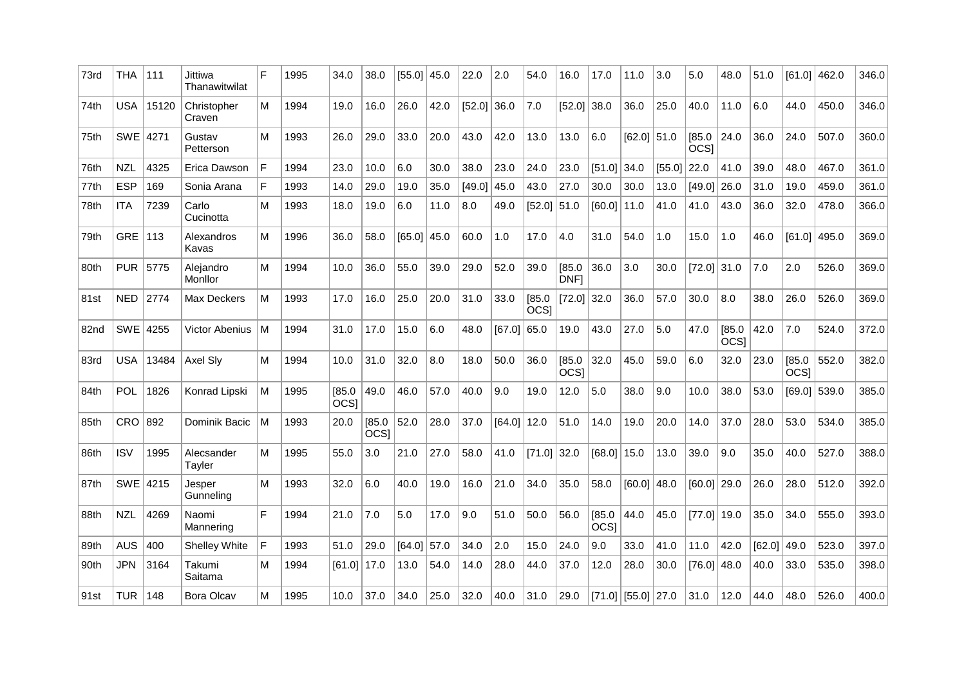| <b>USA</b><br>15120<br>26.0<br>42.0<br> 7.0<br>[52.0]<br>38.0<br>36.0<br>11.0<br>6.0<br>44.0<br>450.0<br>Christopher<br>М<br>1994<br>19.0<br>16.0<br>[52.0]<br>36.0<br>25.0<br>40.0<br>Craven<br>SWE 4271<br>Gustav<br>M<br>1993<br>26.0<br>29.0<br>33.0<br>20.0<br>43.0<br>42.0<br>13.0<br>13.0<br>6.0<br>$[62.0]$ 51.0<br>[85.0]<br>24.0<br>36.0<br>24.0<br>507.0<br><b>OCSI</b><br>Petterson<br>$\mathsf{F}$<br><b>NZL</b><br>6.0<br>38.0<br>24.0<br>23.0<br>$[51.0]$ 34.0<br>22.0<br>41.0<br>39.0<br>48.0<br>467.0<br>4325<br>Erica Dawson<br>1994<br>23.0<br>10.0<br>30.0<br>23.0<br>[55.0]<br>$\mathsf F$<br><b>ESP</b><br>43.0<br>169<br>Sonia Arana<br>1993<br>14.0<br>29.0<br>19.0<br>35.0<br>[49.0]<br>45.0<br>27.0<br>30.0<br>30.0<br>[49.0]<br> 26.0<br>31.0<br>19.0<br>459.0<br>13.0<br><b>ITA</b><br>6.0<br>11.0<br>[60.0]<br>11.0<br>7239<br>Carlo<br>М<br>1993<br>19.0<br>8.0<br>$[52.0]$ 51.0<br>41.0<br>41.0<br>43.0<br>36.0<br>32.0<br>478.0<br>18.0<br>49.0<br>Cucinotta<br>GRE $ 113$<br>17.0<br>4.0<br>54.0<br>M<br>1996<br>58.0<br>$[65.0]$ 45.0<br>60.0<br>1.0<br>31.0<br>1.0<br>15.0<br>1.0<br>46.0<br>$[61.0]$ 495.0<br>Alexandros<br>36.0<br>Kavas<br>[85.0]<br>36.0<br>3.0<br>2.0<br>PUR 5775<br>Alejandro<br>1994<br>36.0<br>55.0<br>39.0<br>29.0<br>52.0<br>39.0<br>30.0<br>$[72.0]$ 31.0<br>7.0<br>526.0<br>M<br>10.0<br>Monllor<br>DNF1<br>25.0<br>20.0<br>31.0<br>33.0<br>[85.0]<br>$[72.0]$ 32.0<br>36.0<br>57.0<br>30.0<br>8.0<br>38.0<br>26.0<br><b>NED 2774</b><br>Max Deckers<br>м<br>1993<br>17.0<br>16.0<br>526.0<br><b>OCSI</b><br>42.0<br>SWE 4255<br>1994<br>17.0<br>15.0<br>6.0<br>19.0<br>43.0<br>27.0<br>47.0<br>[85.0]<br>7.0<br><b>Victor Abenius</b><br>۱M<br>31.0<br>48.0<br>$[67.0]$ 65.0<br>5.0<br>524.0<br><b>OCSI</b><br>32.0<br>23.0<br><b>USA</b><br>13484<br>М<br>1994<br>31.0<br>32.0<br>8.0<br>18.0<br>50.0<br>36.0<br>[85.0]<br>45.0<br>59.0<br>6.0<br>32.0<br>[85.0]<br>552.0<br>Axel Sly<br>10.0<br>OCS <sub>1</sub><br><b>OCSI</b><br><b>POL</b><br>[85.0]<br>49.0<br>46.0<br>57.0<br>40.0<br>9.0<br>19.0<br>12.0<br>5.0<br>53.0<br>1826<br>Konrad Lipski<br>M<br>1995<br>38.0<br>9.0<br>10.0<br>38.0<br>$[69.0]$ 539.0<br>OCS <sub>I</sub><br>CRO 892<br>52.0<br>Dominik Bacic<br>[85.0]<br>28.0<br>37.0<br>$[64.0]$ 12.0<br>51.0<br>14.0<br>19.0<br>20.0<br>14.0<br>37.0<br>28.0<br>53.0<br>534.0<br>l M<br>1993<br>20.0<br><b>OCSI</b><br><b>ISV</b><br>27.0<br>$ 71.0 $ 32.0<br>$[68.0]$ 15.0<br>39.0<br>527.0<br>1995<br>Alecsander<br>М<br>1995<br>55.0<br>3.0<br>21.0<br>58.0<br>41.0<br>13.0<br>9.0<br>35.0<br>40.0<br>Tayler<br>35.0<br>58.0<br>SWE 4215<br>M<br>1993<br>6.0<br>40.0<br>19.0<br>16.0<br>21.0<br>34.0<br>[60.0]<br> 48.0<br>$[60.0]$ 29.0<br>26.0<br>28.0<br>512.0<br>32.0<br>Jesper<br>Gunneling<br>F<br>7.0<br>5.0<br>9.0<br>50.0<br>56.0<br>[85.0]<br>44.0<br>34.0<br><b>NZL</b><br>4269<br>1994<br>21.0<br>17.0<br>51.0<br>45.0<br>$[77.0]$ 19.0<br>35.0<br>555.0<br>Naomi<br><b>OCSI</b><br>Mannering<br><b>AUS</b><br>F<br>400<br>1993<br>29.0<br>[64.0]<br>57.0<br>34.0<br>2.0<br>15.0<br>24.0<br>9.0<br>33.0<br>41.0<br>11.0<br>42.0<br>[62.0]<br> 49.0<br>523.0<br><b>Shelley White</b><br>51.0<br><b>JPN</b><br>3164<br>м<br>1994<br>13.0<br>54.0<br>14.0<br>28.0<br>44.0<br>37.0<br>12.0<br>28.0<br>30.0<br>$[76.0]$ 48.0<br>40.0<br>33.0<br>535.0<br>Takumi<br>$[61.0]$ 17.0<br>Saitama<br>$[71.0]$ [55.0] 27.0 | 73rd | THA   111  |     | Jittiwa<br>Thanawitwilat | F | 1995 | 34.0 | 38.0 | $[55.0]$ 45.0 |      | 22.0 | 2.0  | 54.0 | 16.0 | 17.0 | 11.0 | 3.0 | 5.0  | 48.0 | 51.0 |      | $[61.0]$ 462.0 | 346.0 |
|--------------------------------------------------------------------------------------------------------------------------------------------------------------------------------------------------------------------------------------------------------------------------------------------------------------------------------------------------------------------------------------------------------------------------------------------------------------------------------------------------------------------------------------------------------------------------------------------------------------------------------------------------------------------------------------------------------------------------------------------------------------------------------------------------------------------------------------------------------------------------------------------------------------------------------------------------------------------------------------------------------------------------------------------------------------------------------------------------------------------------------------------------------------------------------------------------------------------------------------------------------------------------------------------------------------------------------------------------------------------------------------------------------------------------------------------------------------------------------------------------------------------------------------------------------------------------------------------------------------------------------------------------------------------------------------------------------------------------------------------------------------------------------------------------------------------------------------------------------------------------------------------------------------------------------------------------------------------------------------------------------------------------------------------------------------------------------------------------------------------------------------------------------------------------------------------------------------------------------------------------------------------------------------------------------------------------------------------------------------------------------------------------------------------------------------------------------------------------------------------------------------------------------------------------------------------------------------------------------------------------------------------------------------------------------------------------------------------------------------------------------------------------------------------------------------------------------------------------------------------------------------------------------------------------------------------------------------------------------------------------------------------------------------------------------------------------------------------------------------------------------------------------------------------------------------------------------------------------------------------------------------------------------------------------------------------------------------------------------------------------------------------------------------------|------|------------|-----|--------------------------|---|------|------|------|---------------|------|------|------|------|------|------|------|-----|------|------|------|------|----------------|-------|
|                                                                                                                                                                                                                                                                                                                                                                                                                                                                                                                                                                                                                                                                                                                                                                                                                                                                                                                                                                                                                                                                                                                                                                                                                                                                                                                                                                                                                                                                                                                                                                                                                                                                                                                                                                                                                                                                                                                                                                                                                                                                                                                                                                                                                                                                                                                                                                                                                                                                                                                                                                                                                                                                                                                                                                                                                                                                                                                                                                                                                                                                                                                                                                                                                                                                                                                                                                                                                    | 74th |            |     |                          |   |      |      |      |               |      |      |      |      |      |      |      |     |      |      |      |      |                | 346.0 |
|                                                                                                                                                                                                                                                                                                                                                                                                                                                                                                                                                                                                                                                                                                                                                                                                                                                                                                                                                                                                                                                                                                                                                                                                                                                                                                                                                                                                                                                                                                                                                                                                                                                                                                                                                                                                                                                                                                                                                                                                                                                                                                                                                                                                                                                                                                                                                                                                                                                                                                                                                                                                                                                                                                                                                                                                                                                                                                                                                                                                                                                                                                                                                                                                                                                                                                                                                                                                                    | 75th |            |     |                          |   |      |      |      |               |      |      |      |      |      |      |      |     |      |      |      |      |                | 360.0 |
|                                                                                                                                                                                                                                                                                                                                                                                                                                                                                                                                                                                                                                                                                                                                                                                                                                                                                                                                                                                                                                                                                                                                                                                                                                                                                                                                                                                                                                                                                                                                                                                                                                                                                                                                                                                                                                                                                                                                                                                                                                                                                                                                                                                                                                                                                                                                                                                                                                                                                                                                                                                                                                                                                                                                                                                                                                                                                                                                                                                                                                                                                                                                                                                                                                                                                                                                                                                                                    | 76th |            |     |                          |   |      |      |      |               |      |      |      |      |      |      |      |     |      |      |      |      |                | 361.0 |
|                                                                                                                                                                                                                                                                                                                                                                                                                                                                                                                                                                                                                                                                                                                                                                                                                                                                                                                                                                                                                                                                                                                                                                                                                                                                                                                                                                                                                                                                                                                                                                                                                                                                                                                                                                                                                                                                                                                                                                                                                                                                                                                                                                                                                                                                                                                                                                                                                                                                                                                                                                                                                                                                                                                                                                                                                                                                                                                                                                                                                                                                                                                                                                                                                                                                                                                                                                                                                    | 77th |            |     |                          |   |      |      |      |               |      |      |      |      |      |      |      |     |      |      |      |      |                | 361.0 |
|                                                                                                                                                                                                                                                                                                                                                                                                                                                                                                                                                                                                                                                                                                                                                                                                                                                                                                                                                                                                                                                                                                                                                                                                                                                                                                                                                                                                                                                                                                                                                                                                                                                                                                                                                                                                                                                                                                                                                                                                                                                                                                                                                                                                                                                                                                                                                                                                                                                                                                                                                                                                                                                                                                                                                                                                                                                                                                                                                                                                                                                                                                                                                                                                                                                                                                                                                                                                                    | 78th |            |     |                          |   |      |      |      |               |      |      |      |      |      |      |      |     |      |      |      |      |                | 366.0 |
|                                                                                                                                                                                                                                                                                                                                                                                                                                                                                                                                                                                                                                                                                                                                                                                                                                                                                                                                                                                                                                                                                                                                                                                                                                                                                                                                                                                                                                                                                                                                                                                                                                                                                                                                                                                                                                                                                                                                                                                                                                                                                                                                                                                                                                                                                                                                                                                                                                                                                                                                                                                                                                                                                                                                                                                                                                                                                                                                                                                                                                                                                                                                                                                                                                                                                                                                                                                                                    | 79th |            |     |                          |   |      |      |      |               |      |      |      |      |      |      |      |     |      |      |      |      |                | 369.0 |
|                                                                                                                                                                                                                                                                                                                                                                                                                                                                                                                                                                                                                                                                                                                                                                                                                                                                                                                                                                                                                                                                                                                                                                                                                                                                                                                                                                                                                                                                                                                                                                                                                                                                                                                                                                                                                                                                                                                                                                                                                                                                                                                                                                                                                                                                                                                                                                                                                                                                                                                                                                                                                                                                                                                                                                                                                                                                                                                                                                                                                                                                                                                                                                                                                                                                                                                                                                                                                    | 80th |            |     |                          |   |      |      |      |               |      |      |      |      |      |      |      |     |      |      |      |      |                | 369.0 |
|                                                                                                                                                                                                                                                                                                                                                                                                                                                                                                                                                                                                                                                                                                                                                                                                                                                                                                                                                                                                                                                                                                                                                                                                                                                                                                                                                                                                                                                                                                                                                                                                                                                                                                                                                                                                                                                                                                                                                                                                                                                                                                                                                                                                                                                                                                                                                                                                                                                                                                                                                                                                                                                                                                                                                                                                                                                                                                                                                                                                                                                                                                                                                                                                                                                                                                                                                                                                                    | 81st |            |     |                          |   |      |      |      |               |      |      |      |      |      |      |      |     |      |      |      |      |                | 369.0 |
|                                                                                                                                                                                                                                                                                                                                                                                                                                                                                                                                                                                                                                                                                                                                                                                                                                                                                                                                                                                                                                                                                                                                                                                                                                                                                                                                                                                                                                                                                                                                                                                                                                                                                                                                                                                                                                                                                                                                                                                                                                                                                                                                                                                                                                                                                                                                                                                                                                                                                                                                                                                                                                                                                                                                                                                                                                                                                                                                                                                                                                                                                                                                                                                                                                                                                                                                                                                                                    | 82nd |            |     |                          |   |      |      |      |               |      |      |      |      |      |      |      |     |      |      |      |      |                | 372.0 |
|                                                                                                                                                                                                                                                                                                                                                                                                                                                                                                                                                                                                                                                                                                                                                                                                                                                                                                                                                                                                                                                                                                                                                                                                                                                                                                                                                                                                                                                                                                                                                                                                                                                                                                                                                                                                                                                                                                                                                                                                                                                                                                                                                                                                                                                                                                                                                                                                                                                                                                                                                                                                                                                                                                                                                                                                                                                                                                                                                                                                                                                                                                                                                                                                                                                                                                                                                                                                                    | 83rd |            |     |                          |   |      |      |      |               |      |      |      |      |      |      |      |     |      |      |      |      |                | 382.0 |
|                                                                                                                                                                                                                                                                                                                                                                                                                                                                                                                                                                                                                                                                                                                                                                                                                                                                                                                                                                                                                                                                                                                                                                                                                                                                                                                                                                                                                                                                                                                                                                                                                                                                                                                                                                                                                                                                                                                                                                                                                                                                                                                                                                                                                                                                                                                                                                                                                                                                                                                                                                                                                                                                                                                                                                                                                                                                                                                                                                                                                                                                                                                                                                                                                                                                                                                                                                                                                    | 84th |            |     |                          |   |      |      |      |               |      |      |      |      |      |      |      |     |      |      |      |      |                | 385.0 |
|                                                                                                                                                                                                                                                                                                                                                                                                                                                                                                                                                                                                                                                                                                                                                                                                                                                                                                                                                                                                                                                                                                                                                                                                                                                                                                                                                                                                                                                                                                                                                                                                                                                                                                                                                                                                                                                                                                                                                                                                                                                                                                                                                                                                                                                                                                                                                                                                                                                                                                                                                                                                                                                                                                                                                                                                                                                                                                                                                                                                                                                                                                                                                                                                                                                                                                                                                                                                                    | 85th |            |     |                          |   |      |      |      |               |      |      |      |      |      |      |      |     |      |      |      |      |                | 385.0 |
|                                                                                                                                                                                                                                                                                                                                                                                                                                                                                                                                                                                                                                                                                                                                                                                                                                                                                                                                                                                                                                                                                                                                                                                                                                                                                                                                                                                                                                                                                                                                                                                                                                                                                                                                                                                                                                                                                                                                                                                                                                                                                                                                                                                                                                                                                                                                                                                                                                                                                                                                                                                                                                                                                                                                                                                                                                                                                                                                                                                                                                                                                                                                                                                                                                                                                                                                                                                                                    | 86th |            |     |                          |   |      |      |      |               |      |      |      |      |      |      |      |     |      |      |      |      |                | 388.0 |
|                                                                                                                                                                                                                                                                                                                                                                                                                                                                                                                                                                                                                                                                                                                                                                                                                                                                                                                                                                                                                                                                                                                                                                                                                                                                                                                                                                                                                                                                                                                                                                                                                                                                                                                                                                                                                                                                                                                                                                                                                                                                                                                                                                                                                                                                                                                                                                                                                                                                                                                                                                                                                                                                                                                                                                                                                                                                                                                                                                                                                                                                                                                                                                                                                                                                                                                                                                                                                    | 87th |            |     |                          |   |      |      |      |               |      |      |      |      |      |      |      |     |      |      |      |      |                | 392.0 |
|                                                                                                                                                                                                                                                                                                                                                                                                                                                                                                                                                                                                                                                                                                                                                                                                                                                                                                                                                                                                                                                                                                                                                                                                                                                                                                                                                                                                                                                                                                                                                                                                                                                                                                                                                                                                                                                                                                                                                                                                                                                                                                                                                                                                                                                                                                                                                                                                                                                                                                                                                                                                                                                                                                                                                                                                                                                                                                                                                                                                                                                                                                                                                                                                                                                                                                                                                                                                                    | 88th |            |     |                          |   |      |      |      |               |      |      |      |      |      |      |      |     |      |      |      |      |                | 393.0 |
|                                                                                                                                                                                                                                                                                                                                                                                                                                                                                                                                                                                                                                                                                                                                                                                                                                                                                                                                                                                                                                                                                                                                                                                                                                                                                                                                                                                                                                                                                                                                                                                                                                                                                                                                                                                                                                                                                                                                                                                                                                                                                                                                                                                                                                                                                                                                                                                                                                                                                                                                                                                                                                                                                                                                                                                                                                                                                                                                                                                                                                                                                                                                                                                                                                                                                                                                                                                                                    | 89th |            |     |                          |   |      |      |      |               |      |      |      |      |      |      |      |     |      |      |      |      |                | 397.0 |
|                                                                                                                                                                                                                                                                                                                                                                                                                                                                                                                                                                                                                                                                                                                                                                                                                                                                                                                                                                                                                                                                                                                                                                                                                                                                                                                                                                                                                                                                                                                                                                                                                                                                                                                                                                                                                                                                                                                                                                                                                                                                                                                                                                                                                                                                                                                                                                                                                                                                                                                                                                                                                                                                                                                                                                                                                                                                                                                                                                                                                                                                                                                                                                                                                                                                                                                                                                                                                    | 90th |            |     |                          |   |      |      |      |               |      |      |      |      |      |      |      |     |      |      |      |      |                | 398.0 |
|                                                                                                                                                                                                                                                                                                                                                                                                                                                                                                                                                                                                                                                                                                                                                                                                                                                                                                                                                                                                                                                                                                                                                                                                                                                                                                                                                                                                                                                                                                                                                                                                                                                                                                                                                                                                                                                                                                                                                                                                                                                                                                                                                                                                                                                                                                                                                                                                                                                                                                                                                                                                                                                                                                                                                                                                                                                                                                                                                                                                                                                                                                                                                                                                                                                                                                                                                                                                                    | 91st | <b>TUR</b> | 148 | <b>Bora Olcav</b>        | м | 1995 | 10.0 | 37.0 | 34.0          | 25.0 | 32.0 | 40.0 | 31.0 | 29.0 |      |      |     | 31.0 | 12.0 | 44.0 | 48.0 | 526.0          | 400.0 |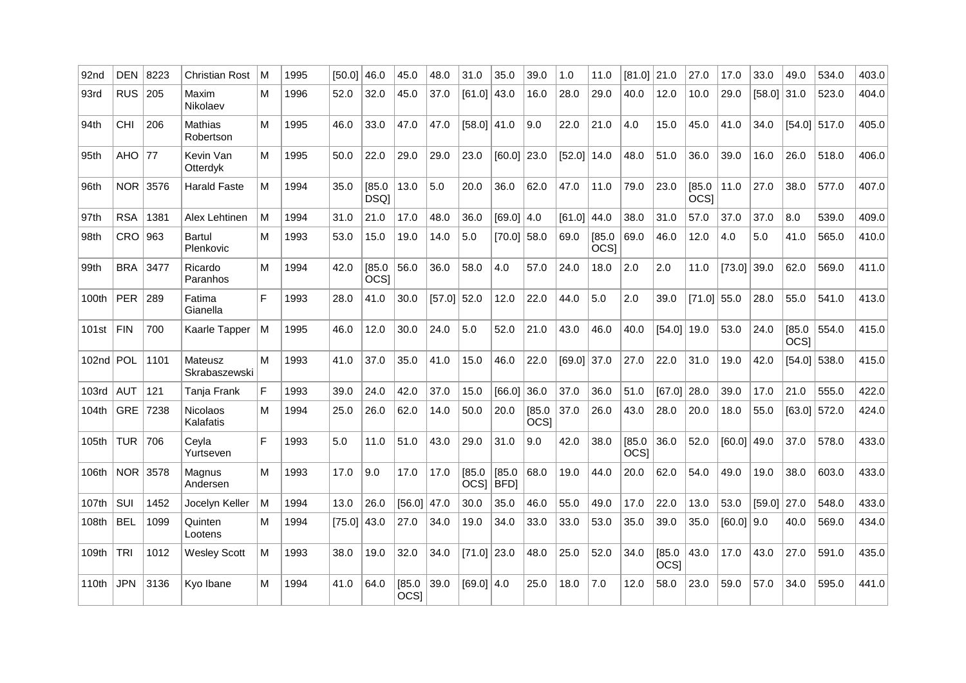| 92nd        | DEN 8223   |      | Christian Rost           | M | 1995 | [50.0]        | 46.0           | 45.0           | 48.0          | 31.0                  | 35.0          | 39.0                       | 1.0           | 11.0                       | $[81.0]$ 21.0         |                      | 27.0           | 17.0          | 33.0          | 49.0                  | 534.0          | 403.0 |
|-------------|------------|------|--------------------------|---|------|---------------|----------------|----------------|---------------|-----------------------|---------------|----------------------------|---------------|----------------------------|-----------------------|----------------------|----------------|---------------|---------------|-----------------------|----------------|-------|
| 93rd        | RUS   205  |      | Maxim<br>Nikolaev        | м | 1996 | 52.0          | 32.0           | 45.0           | 37.0          | $[61.0]$ 43.0         |               | 16.0                       | 28.0          | 29.0                       | 40.0                  | 12.0                 | 10.0           | 29.0          | $[58.0]$ 31.0 |                       | 523.0          | 404.0 |
| 94th        | <b>CHI</b> | 206  | Mathias<br>Robertson     | м | 1995 | 46.0          | 33.0           | 47.0           | 47.0          | $[58.0]$ 41.0         |               | 9.0                        | 22.0          | 21.0                       | 4.0                   | 15.0                 | 45.0           | 41.0          | 34.0          |                       | $[54.0]$ 517.0 | 405.0 |
| 95th        | AHO $ 77$  |      | Kevin Van<br>Otterdyk    | м | 1995 | 50.0          | 22.0           | 29.0           | 29.0          | 23.0                  | $[60.0]$ 23.0 |                            | [52.0]        | 14.0                       | 48.0                  | 51.0                 | 36.0           | 39.0          | 16.0          | 26.0                  | 518.0          | 406.0 |
| 96th        | <b>NOR</b> | 3576 | <b>Harald Faste</b>      | м | 1994 | 35.0          | [85.0]<br>DSQ] | 13.0           | 5.0           | 20.0                  | 36.0          | 62.0                       | 47.0          | 11.0                       | 79.0                  | 23.0                 | [85.0]<br>OCSI | 11.0          | 27.0          | 38.0                  | 577.0          | 407.0 |
| 97th        | <b>RSA</b> | 1381 | Alex Lehtinen            | м | 1994 | 31.0          | 21.0           | 17.0           | 48.0          | 36.0                  | [69.0]   4.0  |                            | [61.0]        | 44.0                       | 38.0                  | 31.0                 | 57.0           | 37.0          | 37.0          | 8.0                   | 539.0          | 409.0 |
| 98th        | $CRO$ 963  |      | Bartul<br>Plenkovic      | M | 1993 | 53.0          | 15.0           | 19.0           | 14.0          | 5.0                   | $[70.0]$ 58.0 |                            | 69.0          | [85.0]<br>OCS <sub>1</sub> | 69.0                  | 46.0                 | 12.0           | 4.0           | 5.0           | 41.0                  | 565.0          | 410.0 |
| 99th        | <b>BRA</b> | 3477 | Ricardo<br>Paranhos      | М | 1994 | 42.0          | [85.0]<br>OCS] | 56.0           | 36.0          | 58.0                  | 4.0           | 57.0                       | 24.0          | 18.0                       | 2.0                   | 2.0                  | 11.0           | [73.0]        | 39.0          | 62.0                  | 569.0          | 411.0 |
| 100th       | <b>PER</b> | 289  | Fatima<br>Gianella       | F | 1993 | 28.0          | 41.0           | 30.0           | $[57.0]$ 52.0 |                       | 12.0          | 22.0                       | 44.0          | 5.0                        | 2.0                   | 39.0                 | $[71.0]$ 55.0  |               | 28.0          | 55.0                  | 541.0          | 413.0 |
| 101st       | <b>FIN</b> | 700  | Kaarle Tapper            | M | 1995 | 46.0          | 12.0           | 30.0           | 24.0          | 5.0                   | 52.0          | 21.0                       | 43.0          | 46.0                       | 40.0                  | $[54.0]$ 19.0        |                | 53.0          | 24.0          | [85.0]<br><b>OCSI</b> | 554.0          | 415.0 |
| 102nd   POL |            | 1101 | Mateusz<br>Skrabaszewski | м | 1993 | 41.0          | 37.0           | 35.0           | 41.0          | 15.0                  | 46.0          | 22.0                       | $[69.0]$ 37.0 |                            | 27.0                  | 22.0                 | 31.0           | 19.0          | 42.0          |                       | [54.0] 538.0   | 415.0 |
| 103rd       | <b>AUT</b> | 121  | Tanja Frank              | F | 1993 | 39.0          | 24.0           | 42.0           | 37.0          | 15.0                  | [66.0]        | 36.0                       | 37.0          | 36.0                       | 51.0                  | $[67.0]$ 28.0        |                | 39.0          | 17.0          | 21.0                  | 555.0          | 422.0 |
| 104th       | <b>GRE</b> | 7238 | Nicolaos<br>Kalafatis    | м | 1994 | 25.0          | 26.0           | 62.0           | 14.0          | 50.0                  | 20.0          | [85.0]<br>OCS <sub>I</sub> | 37.0          | 26.0                       | 43.0                  | 28.0                 | 20.0           | 18.0          | 55.0          |                       | $[63.0]$ 572.0 | 424.0 |
| 105th       | <b>TUR</b> | 706  | Cevla<br>Yurtseven       | F | 1993 | 5.0           | 11.0           | 51.0           | 43.0          | 29.0                  | 31.0          | 9.0                        | 42.0          | 38.0                       | [85.0]<br><b>OCSI</b> | 36.0                 | 52.0           | $[60.0]$ 49.0 |               | 37.0                  | 578.0          | 433.0 |
| 106th       | <b>NOR</b> | 3578 | Magnus<br>Andersen       | м | 1993 | 17.0          | 9.0            | 17.0           | 17.0          | [85.0]<br>OCSI   BFDI | [85.0]        | 68.0                       | 19.0          | 44.0                       | 20.0                  | 62.0                 | 54.0           | 49.0          | 19.0          | 38.0                  | 603.0          | 433.0 |
| 107th       | SUI        | 1452 | Jocelyn Keller           | M | 1994 | 13.0          | 26.0           | [56.0]   47.0  |               | 30.0                  | 35.0          | 46.0                       | 55.0          | 49.0                       | 17.0                  | 22.0                 | 13.0           | 53.0          | [59.0]        | 27.0                  | 548.0          | 433.0 |
| 108th       | <b>BEL</b> | 1099 | Quinten<br>Lootens       | м | 1994 | $[75.0]$ 43.0 |                | 27.0           | 34.0          | 19.0                  | 34.0          | 33.0                       | 33.0          | 53.0                       | 35.0                  | 39.0                 | 35.0           | $[60.0]$ 9.0  |               | 40.0                  | 569.0          | 434.0 |
| 109th       | <b>TRI</b> | 1012 | <b>Wesley Scott</b>      | M | 1993 | 38.0          | 19.0           | 32.0           | 34.0          | $[71.0]$ 23.0         |               | 48.0                       | 25.0          | 52.0                       | 34.0                  | [85.0]<br><b>OCS</b> | 43.0           | 17.0          | 43.0          | 27.0                  | 591.0          | 435.0 |
| 110th       | <b>JPN</b> | 3136 | Kyo Ibane                | м | 1994 | 41.0          | 64.0           | [85.0]<br>OCS] | 39.0          | $[69.0]$ 4.0          |               | 25.0                       | 18.0          | 7.0                        | 12.0                  | 58.0                 | 23.0           | 59.0          | 57.0          | 34.0                  | 595.0          | 441.0 |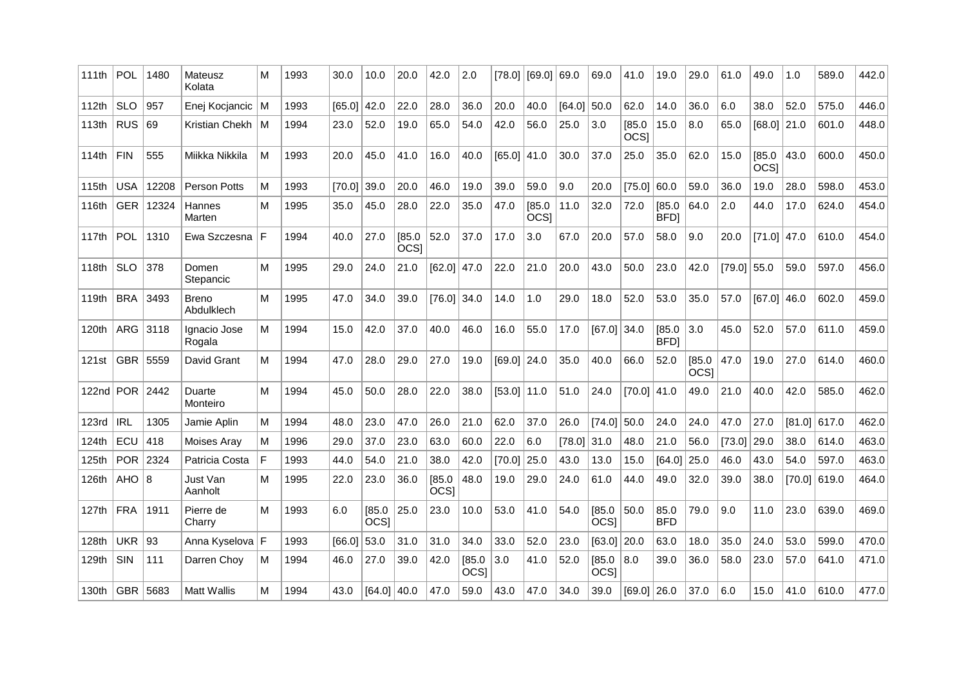| 111th | POL            | 1480  | Mateusz<br>Kolata      | М   | 1993 | 30.0   | 10.0                       | 20.0                  | 42.0                       | 2.0                   | [78.0]        | [69.0]               | 69.0   | 69.0                  | 41.0                  | 19.0                  | 29.0                  | 61.0          | 49.0                  | 1.0    | 589.0          | 442.0 |
|-------|----------------|-------|------------------------|-----|------|--------|----------------------------|-----------------------|----------------------------|-----------------------|---------------|----------------------|--------|-----------------------|-----------------------|-----------------------|-----------------------|---------------|-----------------------|--------|----------------|-------|
| 112th | <b>SLO</b>     | 957   | Enej Kocjancic         | ۱M  | 1993 | [65.0] | 42.0                       | 22.0                  | 28.0                       | 36.0                  | 20.0          | 40.0                 | [64.0] | 50.0                  | 62.0                  | 14.0                  | 36.0                  | 6.0           | 38.0                  | 52.0   | 575.0          | 446.0 |
| 113th | <b>RUS</b>     | 69    | Kristian Chekh         | ۱M  | 1994 | 23.0   | 52.0                       | 19.0                  | 65.0                       | 54.0                  | 42.0          | 56.0                 | 25.0   | 3.0                   | [85.0]<br><b>OCSI</b> | 15.0                  | 8.0                   | 65.0          | $[68.0]$ 21.0         |        | 601.0          | 448.0 |
| 114th | <b>FIN</b>     | 555   | Miikka Nikkila         | м   | 1993 | 20.0   | 45.0                       | 41.0                  | 16.0                       | 40.0                  | [65.0]        | 41.0                 | 30.0   | 37.0                  | 25.0                  | 35.0                  | 62.0                  | 15.0          | [85.0]<br><b>OCSI</b> | 43.0   | 600.0          | 450.0 |
| 115th | <b>USA</b>     | 12208 | Person Potts           | м   | 1993 | [70.0] | 39.0                       | 20.0                  | 46.0                       | 19.0                  | 39.0          | 59.0                 | 9.0    | 20.0                  | $[75.0]$ 60.0         |                       | 59.0                  | 36.0          | 19.0                  | 28.0   | 598.0          | 453.0 |
| 116th | <b>GER</b>     | 12324 | Hannes<br>Marten       | м   | 1995 | 35.0   | 45.0                       | 28.0                  | 22.0                       | 35.0                  | 47.0          | 185.0<br><b>OCSI</b> | 11.0   | 32.0                  | 72.0                  | [85.0]<br><b>BFD</b>  | 64.0                  | 2.0           | 44.0                  | 17.0   | 624.0          | 454.0 |
| 117th | POL            | 1310  | Ewa Szczesna           | l F | 1994 | 40.0   | 27.0                       | [85.0]<br><b>OCSI</b> | 52.0                       | 37.0                  | 17.0          | 3.0                  | 67.0   | 20.0                  | 57.0                  | 58.0                  | 9.0                   | 20.0          | $[71.0]$ 47.0         |        | 610.0          | 454.0 |
| 118th | <b>SLO</b>     | 378   | Domen<br>Stepancic     | M   | 1995 | 29.0   | 24.0                       | 21.0                  | [62.0]                     | 47.0                  | 22.0          | 21.0                 | 20.0   | 43.0                  | 50.0                  | 23.0                  | 42.0                  | $[79.0]$ 55.0 |                       | 59.0   | 597.0          | 456.0 |
| 119th | <b>BRA</b>     | 3493  | Breno<br>Abdulklech    | м   | 1995 | 47.0   | 34.0                       | 39.0                  | [76.0]                     | 34.0                  | 14.0          | 1.0                  | 29.0   | 18.0                  | 52.0                  | 53.0                  | 35.0                  | 57.0          | $[67.0]$ 46.0         |        | 602.0          | 459.0 |
| 120th | <b>ARG</b>     | 3118  | Ignacio Jose<br>Rogala | м   | 1994 | 15.0   | 42.0                       | 37.0                  | 40.0                       | 46.0                  | 16.0          | 55.0                 | 17.0   | $[67.0]$ 34.0         |                       | [85.0]<br><b>BFDI</b> | 3.0                   | 45.0          | 52.0                  | 57.0   | 611.0          | 459.0 |
| 121st | <b>GBR</b>     | 5559  | David Grant            | м   | 1994 | 47.0   | 28.0                       | 29.0                  | 27.0                       | 19.0                  | $[69.0]$ 24.0 |                      | 35.0   | 40.0                  | 66.0                  | 52.0                  | [85.0]<br><b>OCSI</b> | 47.0          | 19.0                  | 27.0   | 614.0          | 460.0 |
|       | 122nd POR 2442 |       | Duarte<br>Monteiro     | м   | 1994 | 45.0   | 50.0                       | 28.0                  | 22.0                       | 38.0                  | [53.0]        | 11.0                 | 51.0   | 24.0                  | $[70.0]$ 41.0         |                       | 49.0                  | 21.0          | 40.0                  | 42.0   | 585.0          | 462.0 |
| 123rd | <b>IRL</b>     | 1305  | Jamie Aplin            | м   | 1994 | 48.0   | 23.0                       | 47.0                  | 26.0                       | 21.0                  | 62.0          | 37.0                 | 26.0   | $[74.0]$ 50.0         |                       | 24.0                  | 24.0                  | 47.0          | 27.0                  |        | $[81.0]$ 617.0 | 462.0 |
| 124th | ECU            | 418   | Moises Arav            | м   | 1996 | 29.0   | 37.0                       | 23.0                  | 63.0                       | 60.0                  | 22.0          | 6.0                  | [78.0] | 31.0                  | 48.0                  | 21.0                  | 56.0                  | [73.0]        | 29.0                  | 38.0   | 614.0          | 463.0 |
| 125th | <b>POR</b>     | 2324  | Patricia Costa         | F   | 1993 | 44.0   | 54.0                       | 21.0                  | 38.0                       | 42.0                  | [70.0]        | 25.0                 | 43.0   | 13.0                  | 15.0                  | [64.0]                | 25.0                  | 46.0          | 43.0                  | 54.0   | 597.0          | 463.0 |
| 126th | AHO            | 8     | Just Van<br>Aanholt    | м   | 1995 | 22.0   | 23.0                       | 36.0                  | [85.0]<br>OCS <sub>1</sub> | 48.0                  | 19.0          | 29.0                 | 24.0   | 61.0                  | 44.0                  | 49.0                  | 32.0                  | 39.0          | 38.0                  | [70.0] | 619.0          | 464.0 |
| 127th | <b>FRA</b>     | 1911  | Pierre de<br>Charry    | м   | 1993 | 6.0    | [85.0]<br>OCS <sub>1</sub> | 25.0                  | 23.0                       | 10.0                  | 53.0          | 41.0                 | 54.0   | [85.0]<br>OCS]        | 50.0                  | 85.0<br><b>BFD</b>    | 79.0                  | 9.0           | 11.0                  | 23.0   | 639.0          | 469.0 |
| 128th | <b>UKR</b>     | 93    | Anna Kyselova   F      |     | 1993 | [66.0] | 53.0                       | 31.0                  | 31.0                       | 34.0                  | 33.0          | 52.0                 | 23.0   | $[63.0]$ 20.0         |                       | 63.0                  | 18.0                  | 35.0          | 24.0                  | 53.0   | 599.0          | 470.0 |
| 129th | SIN            | 111   | Darren Choy            | м   | 1994 | 46.0   | 27.0                       | 39.0                  | 42.0                       | [85.0]<br><b>OCSI</b> | 3.0           | 41.0                 | 52.0   | [85.0]<br><b>OCSI</b> | 8.0                   | 39.0                  | 36.0                  | 58.0          | 23.0                  | 57.0   | 641.0          | 471.0 |
| 130th | <b>GBR</b>     | 5683  | <b>Matt Wallis</b>     | м   | 1994 | 43.0   | [64.0]                     | 40.0                  | 47.0                       | 59.0                  | 43.0          | 47.0                 | 34.0   | 39.0                  | $[69.0]$ 26.0         |                       | 37.0                  | 6.0           | 15.0                  | 41.0   | 610.0          | 477.0 |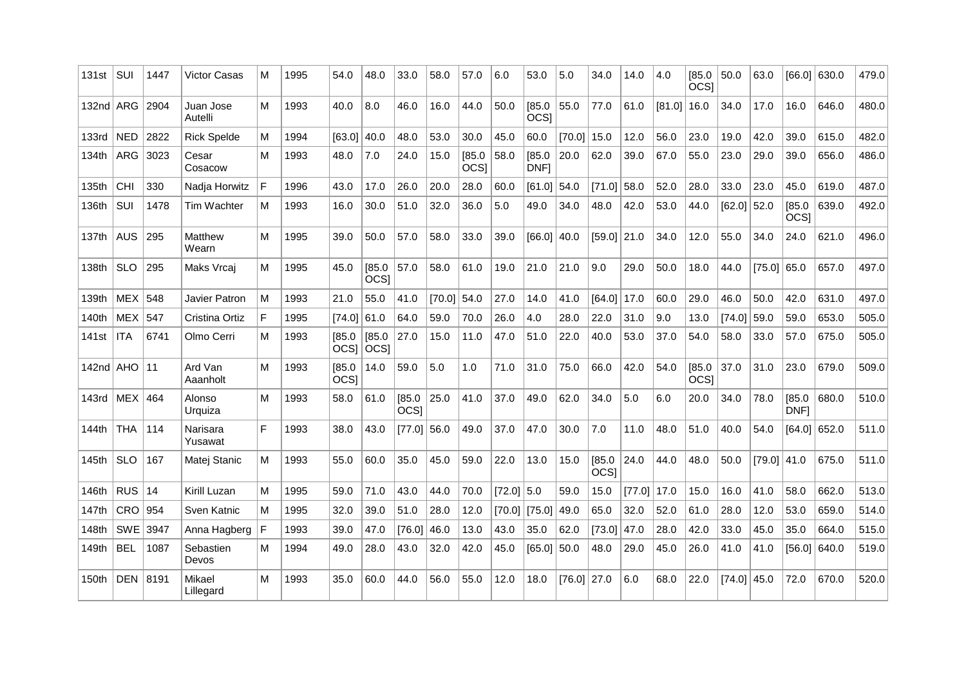| 131st             | SUI        | 1447 | Victor Casas         | М | 1995 | 54.0                       | 48.0                  | 33.0                       | 58.0          | 57.0                       | 6.0          | 53.0                  | 5.0    | 34.0                  | 14.0   | 4.0           | [85.0]<br><b>OCSI</b>      | 50.0   | 63.0   |                       | [66.0] 630.0   | 479.0 |
|-------------------|------------|------|----------------------|---|------|----------------------------|-----------------------|----------------------------|---------------|----------------------------|--------------|-----------------------|--------|-----------------------|--------|---------------|----------------------------|--------|--------|-----------------------|----------------|-------|
| 132nd ARG         |            | 2904 | Juan Jose<br>Autelli | м | 1993 | 40.0                       | 8.0                   | 46.0                       | 16.0          | 44.0                       | 50.0         | [85.0]<br><b>OCSI</b> | 55.0   | 77.0                  | 61.0   | $[81.0]$ 16.0 |                            | 34.0   | 17.0   | 16.0                  | 646.0          | 480.0 |
| 133rd             | <b>NED</b> | 2822 | <b>Rick Spelde</b>   | м | 1994 | [63.0]                     | 40.0                  | 48.0                       | 53.0          | 30.0                       | 45.0         | 60.0                  | [70.0] | 15.0                  | 12.0   | 56.0          | 23.0                       | 19.0   | 42.0   | 39.0                  | 615.0          | 482.0 |
| 134th             | ARG        | 3023 | Cesar<br>Cosacow     | м | 1993 | 48.0                       | 7.0                   | 24.0                       | 15.0          | [85.0]<br>OCS <sub>1</sub> | 58.0         | [85.0]<br>DNF1        | 20.0   | 62.0                  | 39.0   | 67.0          | 55.0                       | 23.0   | 29.0   | 39.0                  | 656.0          | 486.0 |
| 135th             | CHI        | 330  | Nadja Horwitz        | F | 1996 | 43.0                       | 17.0                  | 26.0                       | 20.0          | 28.0                       | 60.0         | [61.0]                | 54.0   | [71.0]                | 58.0   | 52.0          | 28.0                       | 33.0   | 23.0   | 45.0                  | 619.0          | 487.0 |
| 136th             | SUI        | 1478 | <b>Tim Wachter</b>   | м | 1993 | 16.0                       | 30.0                  | 51.0                       | 32.0          | 36.0                       | 5.0          | 49.0                  | 34.0   | 48.0                  | 42.0   | 53.0          | 44.0                       | [62.0] | 52.0   | [85.0]<br><b>OCSI</b> | 639.0          | 492.0 |
| 137th             | <b>AUS</b> | 295  | Matthew<br>Wearn     | м | 1995 | 39.0                       | 50.0                  | 57.0                       | 58.0          | 33.0                       | 39.0         | [66.0]                | 40.0   | $[59.0]$ 21.0         |        | 34.0          | 12.0                       | 55.0   | 34.0   | 24.0                  | 621.0          | 496.0 |
| 138th             | <b>SLO</b> | 295  | Maks Vrcaj           | м | 1995 | 45.0                       | [85.0]<br><b>OCSI</b> | 57.0                       | 58.0          | 61.0                       | 19.0         | 21.0                  | 21.0   | 9.0                   | 29.0   | 50.0          | 18.0                       | 44.0   | [75.0] | 65.0                  | 657.0          | 497.0 |
| 139th             | <b>MEX</b> | 548  | Javier Patron        | м | 1993 | 21.0                       | 55.0                  | 41.0                       | $[70.0]$ 54.0 |                            | 27.0         | 14.0                  | 41.0   | [64.0]                | 17.0   | 60.0          | 29.0                       | 46.0   | 50.0   | 42.0                  | 631.0          | 497.0 |
| 140th             | <b>MEX</b> | 547  | Cristina Ortiz       | F | 1995 | [74.0]                     | 61.0                  | 64.0                       | 59.0          | 70.0                       | 26.0         | 4.0                   | 28.0   | 22.0                  | 31.0   | 9.0           | 13.0                       | [74.0] | 59.0   | 59.0                  | 653.0          | 505.0 |
| 141 <sub>st</sub> | <b>ITA</b> | 6741 | Olmo Cerri           | м | 1993 | [85.0]<br>OCS <sub>1</sub> | [85.0]<br><b>OCSI</b> | 27.0                       | 15.0          | 11.0                       | 47.0         | 51.0                  | 22.0   | 40.0                  | 53.0   | 37.0          | 54.0                       | 58.0   | 33.0   | 57.0                  | 675.0          | 505.0 |
| $142nd$ AHO       |            | 11   | Ard Van<br>Aaanholt  | М | 1993 | [85.0]<br>OCS <sub>1</sub> | 14.0                  | 59.0                       | 5.0           | 1.0                        | 71.0         | 31.0                  | 75.0   | 66.0                  | 42.0   | 54.0          | [85.0]<br>OCS <sub>1</sub> | 37.0   | 31.0   | 23.0                  | 679.0          | 509.0 |
| 143rd             | <b>MEX</b> | 464  | Alonso<br>Urquiza    | M | 1993 | 58.0                       | 61.0                  | [85.0]<br>OCS <sub>1</sub> | 25.0          | 41.0                       | 37.0         | 49.0                  | 62.0   | 34.0                  | 5.0    | 6.0           | 20.0                       | 34.0   | 78.0   | [85.0]<br>DNF1        | 680.0          | 510.0 |
| 144th             | <b>THA</b> | 114  | Narisara<br>Yusawat  | F | 1993 | 38.0                       | 43.0                  | [77.0]                     | 56.0          | 49.0                       | 37.0         | 47.0                  | 30.0   | 7.0                   | 11.0   | 48.0          | 51.0                       | 40.0   | 54.0   |                       | $[64.0]$ 652.0 | 511.0 |
| 145th             | <b>SLO</b> | 167  | Matej Stanic         | м | 1993 | 55.0                       | 60.0                  | 35.0                       | 45.0          | 59.0                       | 22.0         | 13.0                  | 15.0   | [85.0]<br><b>OCSI</b> | 24.0   | 44.0          | 48.0                       | 50.0   | [79.0] | 41.0                  | 675.0          | 511.0 |
| 146th             | <b>RUS</b> | 14   | Kirill Luzan         | м | 1995 | 59.0                       | 71.0                  | 43.0                       | 44.0          | 70.0                       | $[72.0]$ 5.0 |                       | 59.0   | 15.0                  | [77.0] | 17.0          | 15.0                       | 16.0   | 41.0   | 58.0                  | 662.0          | 513.0 |
| 147th             | CRO        | 954  | Sven Katnic          | м | 1995 | 32.0                       | 39.0                  | 51.0                       | 28.0          | 12.0                       |              | $[70.0]$ [75.0]       | 49.0   | 65.0                  | 32.0   | 52.0          | 61.0                       | 28.0   | 12.0   | 53.0                  | 659.0          | 514.0 |
| 148th             | SWE        | 3947 | Anna Hagberg         | F | 1993 | 39.0                       | 47.0                  | [76.0]                     | 46.0          | 13.0                       | 43.0         | 35.0                  | 62.0   | [73.0]                | 47.0   | 28.0          | 42.0                       | 33.0   | 45.0   | 35.0                  | 664.0          | 515.0 |
| 149th             | <b>BEL</b> | 1087 | Sebastien<br>Devos   | м | 1994 | 49.0                       | 28.0                  | 43.0                       | 32.0          | 42.0                       | 45.0         | [65.0]                | 50.0   | 48.0                  | 29.0   | 45.0          | 26.0                       | 41.0   | 41.0   |                       | $[56.0]$ 640.0 | 519.0 |
| 150th             | <b>DEN</b> | 8191 | Mikael<br>Lillegard  | M | 1993 | 35.0                       | 60.0                  | 44.0                       | 56.0          | 55.0                       | 12.0         | 18.0                  | [76.0] | 27.0                  | 6.0    | 68.0          | 22.0                       | [74.0] | 45.0   | 72.0                  | 670.0          | 520.0 |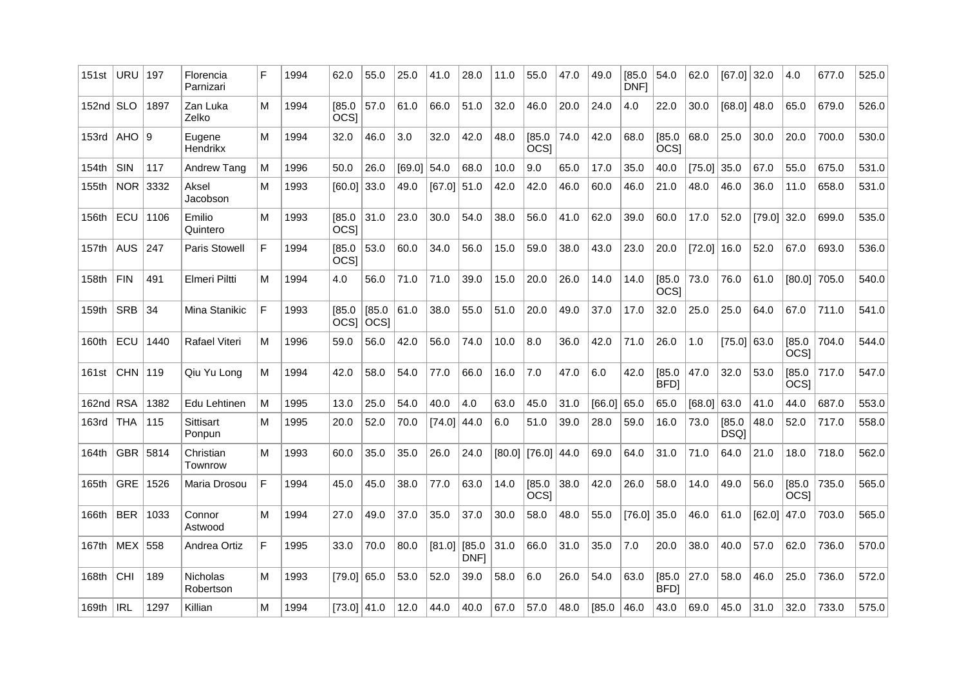| $152nd$ SLO<br>1897<br>Zan Luka<br>[85.0<br>57.0<br>61.0<br>66.0<br>51.0<br>32.0<br>46.0<br>20.0<br>24.0<br>30.0<br>$[68.0]$ 48.0<br>65.0<br>679.0<br>м<br>1994<br>4.0<br>22.0<br>OCS <sub>I</sub><br>Zelko<br>AHO   9<br>74.0<br>25.0<br>Eugene<br>м<br>1994<br>46.0<br>3.0<br>32.0<br>42.0<br>48.0<br>[85.0]<br>42.0<br>68.0<br>[85.0]<br>68.0<br>30.0<br>20.0<br>700.0<br>32.0<br><b>OCSI</b><br>OCS <sub>I</sub><br>Hendrikx<br>SIN<br>117<br>Andrew Tang<br>26.0<br>$[69.0]$ 54.0<br>68.0<br>10.0<br>9.0<br>65.0<br>17.0<br>35.0<br>40.0<br>$[75.0]$ 35.0<br>67.0<br>55.0<br>675.0<br>M<br>1996<br>50.0<br>NOR.<br>3332<br>Aksel<br>1993<br>[60.0] 33.0<br>49.0<br>$[67.0]$ 51.0<br>42.0<br>46.0<br>60.0<br>46.0<br>21.0<br>48.0<br>46.0<br>36.0<br>11.0<br>658.0<br>м<br>42.0<br>Jacobson<br>ECU<br>1106<br>[85.0]<br>31.0<br>23.0<br>56.0<br>62.0<br>39.0<br>17.0<br>Emilio<br>М<br>1993<br>30.0<br>54.0<br>38.0<br>41.0<br>60.0<br>52.0<br>$[79.0]$ 32.0<br>699.0<br>OCS <sub>1</sub><br>Quintero<br><b>AUS</b><br>F<br>59.0<br>43.0<br>67.0<br>247<br>Paris Stowell<br>1994<br>[85.0]<br>53.0<br>60.0<br>34.0<br>56.0<br>38.0<br>23.0<br>20.0<br>$[72.0]$ 16.0<br>52.0<br>693.0<br>15.0<br>OCS <sub>I</sub><br><b>FIN</b><br>73.0<br>491<br>Elmeri Piltti<br>1994<br>56.0<br>71.0<br>71.0<br>39.0<br>15.0<br>20.0<br>26.0<br>14.0<br>[85.0]<br>76.0<br>61.0<br>$[80.0]$ 705.0<br>м<br>4.0<br>14.0<br>OCSI<br>F<br><b>SRB</b><br>34<br>Mina Stanikic<br>1993<br>[85.0]<br>[85.0]<br>61.0<br>38.0<br>55.0<br>51.0<br>20.0<br>49.0<br>37.0<br>17.0<br>32.0<br>25.0<br>25.0<br>64.0<br>67.0<br>711.0<br>$ OCS $ $ OCS $<br>ECU<br>Rafael Viteri<br>$[75.0]$ 63.0<br>[85.0]<br>704.0<br>1440<br>м<br>1996<br>56.0<br>42.0<br>56.0<br>74.0<br>10.0<br>8.0<br>36.0<br>42.0<br>71.0<br>26.0<br>1.0<br>59.0<br><b>OCSI</b><br>CHN $ 119$<br>53.0<br>Qiu Yu Long<br>1994<br>42.0<br>58.0<br>54.0<br>77.0<br>66.0<br>7.0<br>47.0<br>6.0<br>42.0<br>[85.0]<br>47.0<br>32.0<br>[85.0<br>717.0<br>м<br>16.0<br>BFD]<br>OCS]<br><b>RSA</b><br>1382<br>25.0<br>54.0<br>40.0<br>4.0<br>31.0<br>[66.0]<br>65.0<br>Edu Lehtinen<br>M<br>1995<br>63.0<br>45.0<br>65.0<br>$[68.0]$ 63.0<br>41.0<br>44.0<br>687.0<br>13.0<br>THA<br>[85.0]<br>48.0<br>52.0<br>115<br>Sittisart<br>м<br>1995<br>52.0<br>70.0<br>[74.0]<br>44.0<br>6.0<br>51.0<br>39.0<br>28.0<br>59.0<br>16.0<br>73.0<br>717.0<br>20.0<br>DSQ]<br>Ponpun<br>GBR   5814<br>1993<br>35.0<br>35.0<br>26.0<br>24.0<br>[80.0]   [76.0]   44.0<br>64.0<br>71.0<br>64.0<br>21.0<br>18.0<br>718.0<br>Christian<br>м<br>60.0<br>69.0<br>31.0<br>Townrow<br>[85.0]<br>38.0<br>[85.0]<br>GRE<br>1526<br>F<br>45.0<br>38.0<br>77.0<br>63.0<br>14.0<br>42.0<br>26.0<br>58.0<br>49.0<br>56.0<br>735.0<br>Maria Drosou<br>1994<br>45.0<br>14.0<br>OCS <sub>1</sub><br><b>OCSI</b><br><b>BER</b><br>М<br>49.0<br>37.0<br>35.0<br>37.0<br>30.0<br>58.0<br>48.0<br>55.0<br>$[76.0]$ 35.0<br>[62.0]<br>1033<br>1994<br>27.0<br>46.0<br>61.0<br>47.0<br>703.0<br>Connor<br>Astwood<br>F<br>$[81.0]$ [85.0]<br>31.0<br>MEX   558<br>Andrea Ortiz<br>70.0<br>80.0<br>66.0<br>31.0<br>35.0<br>7.0<br>20.0<br>38.0<br>40.0<br>57.0<br>62.0<br>1995<br>33.0<br>736.0<br>DNF1<br><b>CHI</b><br>189<br>1993<br>$[79.0]$ 65.0<br>53.0<br>52.0<br>39.0<br>6.0<br>26.0<br>54.0<br>63.0<br>[85.0]<br> 27.0<br>58.0<br>46.0<br>25.0<br>736.0<br><b>Nicholas</b><br>м<br>58.0<br>BFD1<br>Robertson<br><b>IRL</b><br>1297<br>М<br>40.0<br>67.0<br>57.0<br>48.0<br>[85.0]<br>46.0<br>69.0<br>45.0<br>32.0<br>733.0<br>Killian<br>1994<br>[73.0]   41.0<br>12.0<br>44.0<br>43.0<br>31.0 | 151st | <b>URU</b> | 197 | Florencia<br>Parnizari | F | 1994 | 62.0 | 55.0 | 25.0 | 41.0 | 28.0 | 11.0 | 55.0 | 47.0 | 49.0 | [85.0]<br>DNF1 | 54.0 | 62.0 | $[67.0]$ 32.0 | 4.0 | 677.0 | 525.0 |
|-------------------------------------------------------------------------------------------------------------------------------------------------------------------------------------------------------------------------------------------------------------------------------------------------------------------------------------------------------------------------------------------------------------------------------------------------------------------------------------------------------------------------------------------------------------------------------------------------------------------------------------------------------------------------------------------------------------------------------------------------------------------------------------------------------------------------------------------------------------------------------------------------------------------------------------------------------------------------------------------------------------------------------------------------------------------------------------------------------------------------------------------------------------------------------------------------------------------------------------------------------------------------------------------------------------------------------------------------------------------------------------------------------------------------------------------------------------------------------------------------------------------------------------------------------------------------------------------------------------------------------------------------------------------------------------------------------------------------------------------------------------------------------------------------------------------------------------------------------------------------------------------------------------------------------------------------------------------------------------------------------------------------------------------------------------------------------------------------------------------------------------------------------------------------------------------------------------------------------------------------------------------------------------------------------------------------------------------------------------------------------------------------------------------------------------------------------------------------------------------------------------------------------------------------------------------------------------------------------------------------------------------------------------------------------------------------------------------------------------------------------------------------------------------------------------------------------------------------------------------------------------------------------------------------------------------------------------------------------------------------------------------------------------------------------------------------------------------------------------------------------------------------------------------------------------------------------------------------------------------------------------------------------------------------------------------------------------------------------------------------------------------------------------------------------------------------------------------------------------------------------------------------------------------------------------------------------------------------------|-------|------------|-----|------------------------|---|------|------|------|------|------|------|------|------|------|------|----------------|------|------|---------------|-----|-------|-------|
|                                                                                                                                                                                                                                                                                                                                                                                                                                                                                                                                                                                                                                                                                                                                                                                                                                                                                                                                                                                                                                                                                                                                                                                                                                                                                                                                                                                                                                                                                                                                                                                                                                                                                                                                                                                                                                                                                                                                                                                                                                                                                                                                                                                                                                                                                                                                                                                                                                                                                                                                                                                                                                                                                                                                                                                                                                                                                                                                                                                                                                                                                                                                                                                                                                                                                                                                                                                                                                                                                                                                                                                                       |       |            |     |                        |   |      |      |      |      |      |      |      |      |      |      |                |      |      |               |     |       | 526.0 |
|                                                                                                                                                                                                                                                                                                                                                                                                                                                                                                                                                                                                                                                                                                                                                                                                                                                                                                                                                                                                                                                                                                                                                                                                                                                                                                                                                                                                                                                                                                                                                                                                                                                                                                                                                                                                                                                                                                                                                                                                                                                                                                                                                                                                                                                                                                                                                                                                                                                                                                                                                                                                                                                                                                                                                                                                                                                                                                                                                                                                                                                                                                                                                                                                                                                                                                                                                                                                                                                                                                                                                                                                       | 153rd |            |     |                        |   |      |      |      |      |      |      |      |      |      |      |                |      |      |               |     |       | 530.0 |
|                                                                                                                                                                                                                                                                                                                                                                                                                                                                                                                                                                                                                                                                                                                                                                                                                                                                                                                                                                                                                                                                                                                                                                                                                                                                                                                                                                                                                                                                                                                                                                                                                                                                                                                                                                                                                                                                                                                                                                                                                                                                                                                                                                                                                                                                                                                                                                                                                                                                                                                                                                                                                                                                                                                                                                                                                                                                                                                                                                                                                                                                                                                                                                                                                                                                                                                                                                                                                                                                                                                                                                                                       | 154th |            |     |                        |   |      |      |      |      |      |      |      |      |      |      |                |      |      |               |     |       | 531.0 |
|                                                                                                                                                                                                                                                                                                                                                                                                                                                                                                                                                                                                                                                                                                                                                                                                                                                                                                                                                                                                                                                                                                                                                                                                                                                                                                                                                                                                                                                                                                                                                                                                                                                                                                                                                                                                                                                                                                                                                                                                                                                                                                                                                                                                                                                                                                                                                                                                                                                                                                                                                                                                                                                                                                                                                                                                                                                                                                                                                                                                                                                                                                                                                                                                                                                                                                                                                                                                                                                                                                                                                                                                       | 155th |            |     |                        |   |      |      |      |      |      |      |      |      |      |      |                |      |      |               |     |       | 531.0 |
|                                                                                                                                                                                                                                                                                                                                                                                                                                                                                                                                                                                                                                                                                                                                                                                                                                                                                                                                                                                                                                                                                                                                                                                                                                                                                                                                                                                                                                                                                                                                                                                                                                                                                                                                                                                                                                                                                                                                                                                                                                                                                                                                                                                                                                                                                                                                                                                                                                                                                                                                                                                                                                                                                                                                                                                                                                                                                                                                                                                                                                                                                                                                                                                                                                                                                                                                                                                                                                                                                                                                                                                                       | 156th |            |     |                        |   |      |      |      |      |      |      |      |      |      |      |                |      |      |               |     |       | 535.0 |
|                                                                                                                                                                                                                                                                                                                                                                                                                                                                                                                                                                                                                                                                                                                                                                                                                                                                                                                                                                                                                                                                                                                                                                                                                                                                                                                                                                                                                                                                                                                                                                                                                                                                                                                                                                                                                                                                                                                                                                                                                                                                                                                                                                                                                                                                                                                                                                                                                                                                                                                                                                                                                                                                                                                                                                                                                                                                                                                                                                                                                                                                                                                                                                                                                                                                                                                                                                                                                                                                                                                                                                                                       | 157th |            |     |                        |   |      |      |      |      |      |      |      |      |      |      |                |      |      |               |     |       | 536.0 |
|                                                                                                                                                                                                                                                                                                                                                                                                                                                                                                                                                                                                                                                                                                                                                                                                                                                                                                                                                                                                                                                                                                                                                                                                                                                                                                                                                                                                                                                                                                                                                                                                                                                                                                                                                                                                                                                                                                                                                                                                                                                                                                                                                                                                                                                                                                                                                                                                                                                                                                                                                                                                                                                                                                                                                                                                                                                                                                                                                                                                                                                                                                                                                                                                                                                                                                                                                                                                                                                                                                                                                                                                       | 158th |            |     |                        |   |      |      |      |      |      |      |      |      |      |      |                |      |      |               |     |       | 540.0 |
|                                                                                                                                                                                                                                                                                                                                                                                                                                                                                                                                                                                                                                                                                                                                                                                                                                                                                                                                                                                                                                                                                                                                                                                                                                                                                                                                                                                                                                                                                                                                                                                                                                                                                                                                                                                                                                                                                                                                                                                                                                                                                                                                                                                                                                                                                                                                                                                                                                                                                                                                                                                                                                                                                                                                                                                                                                                                                                                                                                                                                                                                                                                                                                                                                                                                                                                                                                                                                                                                                                                                                                                                       | 159th |            |     |                        |   |      |      |      |      |      |      |      |      |      |      |                |      |      |               |     |       | 541.0 |
|                                                                                                                                                                                                                                                                                                                                                                                                                                                                                                                                                                                                                                                                                                                                                                                                                                                                                                                                                                                                                                                                                                                                                                                                                                                                                                                                                                                                                                                                                                                                                                                                                                                                                                                                                                                                                                                                                                                                                                                                                                                                                                                                                                                                                                                                                                                                                                                                                                                                                                                                                                                                                                                                                                                                                                                                                                                                                                                                                                                                                                                                                                                                                                                                                                                                                                                                                                                                                                                                                                                                                                                                       | 160th |            |     |                        |   |      |      |      |      |      |      |      |      |      |      |                |      |      |               |     |       | 544.0 |
|                                                                                                                                                                                                                                                                                                                                                                                                                                                                                                                                                                                                                                                                                                                                                                                                                                                                                                                                                                                                                                                                                                                                                                                                                                                                                                                                                                                                                                                                                                                                                                                                                                                                                                                                                                                                                                                                                                                                                                                                                                                                                                                                                                                                                                                                                                                                                                                                                                                                                                                                                                                                                                                                                                                                                                                                                                                                                                                                                                                                                                                                                                                                                                                                                                                                                                                                                                                                                                                                                                                                                                                                       | 161st |            |     |                        |   |      |      |      |      |      |      |      |      |      |      |                |      |      |               |     |       | 547.0 |
|                                                                                                                                                                                                                                                                                                                                                                                                                                                                                                                                                                                                                                                                                                                                                                                                                                                                                                                                                                                                                                                                                                                                                                                                                                                                                                                                                                                                                                                                                                                                                                                                                                                                                                                                                                                                                                                                                                                                                                                                                                                                                                                                                                                                                                                                                                                                                                                                                                                                                                                                                                                                                                                                                                                                                                                                                                                                                                                                                                                                                                                                                                                                                                                                                                                                                                                                                                                                                                                                                                                                                                                                       | 162nd |            |     |                        |   |      |      |      |      |      |      |      |      |      |      |                |      |      |               |     |       | 553.0 |
|                                                                                                                                                                                                                                                                                                                                                                                                                                                                                                                                                                                                                                                                                                                                                                                                                                                                                                                                                                                                                                                                                                                                                                                                                                                                                                                                                                                                                                                                                                                                                                                                                                                                                                                                                                                                                                                                                                                                                                                                                                                                                                                                                                                                                                                                                                                                                                                                                                                                                                                                                                                                                                                                                                                                                                                                                                                                                                                                                                                                                                                                                                                                                                                                                                                                                                                                                                                                                                                                                                                                                                                                       | 163rd |            |     |                        |   |      |      |      |      |      |      |      |      |      |      |                |      |      |               |     |       | 558.0 |
|                                                                                                                                                                                                                                                                                                                                                                                                                                                                                                                                                                                                                                                                                                                                                                                                                                                                                                                                                                                                                                                                                                                                                                                                                                                                                                                                                                                                                                                                                                                                                                                                                                                                                                                                                                                                                                                                                                                                                                                                                                                                                                                                                                                                                                                                                                                                                                                                                                                                                                                                                                                                                                                                                                                                                                                                                                                                                                                                                                                                                                                                                                                                                                                                                                                                                                                                                                                                                                                                                                                                                                                                       | 164th |            |     |                        |   |      |      |      |      |      |      |      |      |      |      |                |      |      |               |     |       | 562.0 |
|                                                                                                                                                                                                                                                                                                                                                                                                                                                                                                                                                                                                                                                                                                                                                                                                                                                                                                                                                                                                                                                                                                                                                                                                                                                                                                                                                                                                                                                                                                                                                                                                                                                                                                                                                                                                                                                                                                                                                                                                                                                                                                                                                                                                                                                                                                                                                                                                                                                                                                                                                                                                                                                                                                                                                                                                                                                                                                                                                                                                                                                                                                                                                                                                                                                                                                                                                                                                                                                                                                                                                                                                       | 165th |            |     |                        |   |      |      |      |      |      |      |      |      |      |      |                |      |      |               |     |       | 565.0 |
|                                                                                                                                                                                                                                                                                                                                                                                                                                                                                                                                                                                                                                                                                                                                                                                                                                                                                                                                                                                                                                                                                                                                                                                                                                                                                                                                                                                                                                                                                                                                                                                                                                                                                                                                                                                                                                                                                                                                                                                                                                                                                                                                                                                                                                                                                                                                                                                                                                                                                                                                                                                                                                                                                                                                                                                                                                                                                                                                                                                                                                                                                                                                                                                                                                                                                                                                                                                                                                                                                                                                                                                                       | 166th |            |     |                        |   |      |      |      |      |      |      |      |      |      |      |                |      |      |               |     |       | 565.0 |
|                                                                                                                                                                                                                                                                                                                                                                                                                                                                                                                                                                                                                                                                                                                                                                                                                                                                                                                                                                                                                                                                                                                                                                                                                                                                                                                                                                                                                                                                                                                                                                                                                                                                                                                                                                                                                                                                                                                                                                                                                                                                                                                                                                                                                                                                                                                                                                                                                                                                                                                                                                                                                                                                                                                                                                                                                                                                                                                                                                                                                                                                                                                                                                                                                                                                                                                                                                                                                                                                                                                                                                                                       | 167th |            |     |                        |   |      |      |      |      |      |      |      |      |      |      |                |      |      |               |     |       | 570.0 |
|                                                                                                                                                                                                                                                                                                                                                                                                                                                                                                                                                                                                                                                                                                                                                                                                                                                                                                                                                                                                                                                                                                                                                                                                                                                                                                                                                                                                                                                                                                                                                                                                                                                                                                                                                                                                                                                                                                                                                                                                                                                                                                                                                                                                                                                                                                                                                                                                                                                                                                                                                                                                                                                                                                                                                                                                                                                                                                                                                                                                                                                                                                                                                                                                                                                                                                                                                                                                                                                                                                                                                                                                       | 168th |            |     |                        |   |      |      |      |      |      |      |      |      |      |      |                |      |      |               |     |       | 572.0 |
|                                                                                                                                                                                                                                                                                                                                                                                                                                                                                                                                                                                                                                                                                                                                                                                                                                                                                                                                                                                                                                                                                                                                                                                                                                                                                                                                                                                                                                                                                                                                                                                                                                                                                                                                                                                                                                                                                                                                                                                                                                                                                                                                                                                                                                                                                                                                                                                                                                                                                                                                                                                                                                                                                                                                                                                                                                                                                                                                                                                                                                                                                                                                                                                                                                                                                                                                                                                                                                                                                                                                                                                                       | 169th |            |     |                        |   |      |      |      |      |      |      |      |      |      |      |                |      |      |               |     |       | 575.0 |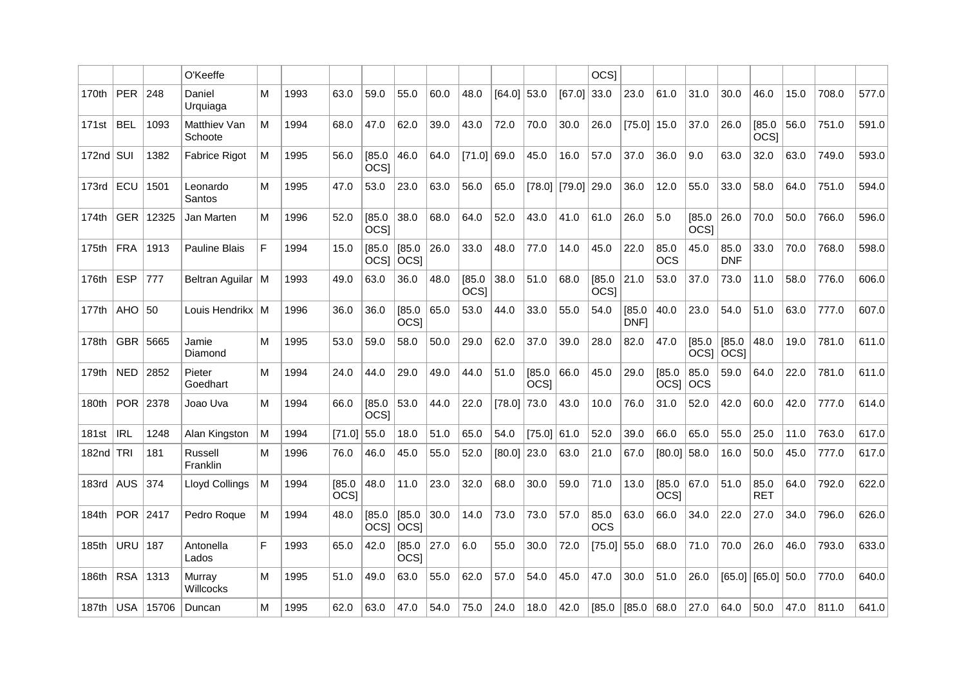|                   |            |       | O'Keeffe                |   |      |                            |                       |                            |      |                            |               |                       |        | <b>OCSI</b>                |                |                       |                            |                            |                            |      |       |       |
|-------------------|------------|-------|-------------------------|---|------|----------------------------|-----------------------|----------------------------|------|----------------------------|---------------|-----------------------|--------|----------------------------|----------------|-----------------------|----------------------------|----------------------------|----------------------------|------|-------|-------|
| 170th             | <b>PER</b> | 248   | Daniel<br>Urquiaga      | M | 1993 | 63.0                       | 59.0                  | 55.0                       | 60.0 | 48.0                       | $[64.0]$ 53.0 |                       | [67.0] | 33.0                       | 23.0           | 61.0                  | 31.0                       | 30.0                       | 46.0                       | 15.0 | 708.0 | 577.0 |
| 171st             | <b>BEL</b> | 1093  | Matthiev Van<br>Schoote | м | 1994 | 68.0                       | 47.0                  | 62.0                       | 39.0 | 43.0                       | 72.0          | 70.0                  | 30.0   | 26.0                       | [75.0]         | 15.0                  | 37.0                       | 26.0                       | [85.0]<br>OCS <sub>1</sub> | 56.0 | 751.0 | 591.0 |
| 172nd $\vert$ SUI |            | 1382  | Fabrice Rigot           | м | 1995 | 56.0                       | [85.0]<br><b>OCSI</b> | 46.0                       | 64.0 | [71.0]                     | 69.0          | 45.0                  | 16.0   | 57.0                       | 37.0           | 36.0                  | 9.0                        | 63.0                       | 32.0                       | 63.0 | 749.0 | 593.0 |
| 173rd             | ECU        | 1501  | Leonardo<br>Santos      | м | 1995 | 47.0                       | 53.0                  | 23.0                       | 63.0 | 56.0                       | 65.0          | [78.0]                | [79.0] | 29.0                       | 36.0           | 12.0                  | 55.0                       | 33.0                       | 58.0                       | 64.0 | 751.0 | 594.0 |
| 174th             | <b>GER</b> | 12325 | Jan Marten              | M | 1996 | 52.0                       | [85.0]<br><b>OCSI</b> | 38.0                       | 68.0 | 64.0                       | 52.0          | 43.0                  | 41.0   | 61.0                       | 26.0           | 5.0                   | [85.0]<br>OCS <sub>1</sub> | 26.0                       | 70.0                       | 50.0 | 766.0 | 596.0 |
| 175th             | <b>FRA</b> | 1913  | Pauline Blais           | F | 1994 | 15.0                       | [85.0]                | [85.0]<br>$ OCS $ $ OCS $  | 26.0 | 33.0                       | 48.0          | 77.0                  | 14.0   | 45.0                       | 22.0           | 85.0<br><b>OCS</b>    | 45.0                       | 85.0<br><b>DNF</b>         | 33.0                       | 70.0 | 768.0 | 598.0 |
| 176th             | <b>ESP</b> | 777   | <b>Beltran Aguilar</b>  | м | 1993 | 49.0                       | 63.0                  | 36.0                       | 48.0 | [85.0]<br>OCS <sub>I</sub> | 38.0          | 51.0                  | 68.0   | [85.0]<br>OCS <sub>I</sub> | 21.0           | 53.0                  | 37.0                       | 73.0                       | 11.0                       | 58.0 | 776.0 | 606.0 |
| 177th             | AHO        | 50    | Louis Hendrikx          | M | 1996 | 36.0                       | 36.0                  | [85.0]<br>OCS <sub>1</sub> | 65.0 | 53.0                       | 44.0          | 33.0                  | 55.0   | 54.0                       | [85.0]<br>DNF1 | 40.0                  | 23.0                       | 54.0                       | 51.0                       | 63.0 | 777.0 | 607.0 |
| 178th             | GBR        | 5665  | Jamie<br>Diamond        | M | 1995 | 53.0                       | 59.0                  | 58.0                       | 50.0 | 29.0                       | 62.0          | 37.0                  | 39.0   | 28.0                       | 82.0           | 47.0                  | [85.0]<br> OCS             | [85.0]<br>  <sub>OCS</sub> | 48.0                       | 19.0 | 781.0 | 611.0 |
| 179th             | <b>NED</b> | 2852  | Pieter<br>Goedhart      | М | 1994 | 24.0                       | 44.0                  | 29.0                       | 49.0 | 44.0                       | 51.0          | [85.0]<br><b>OCSI</b> | 66.0   | 45.0                       | 29.0           | [85.0]<br><b>OCSI</b> | 85.0<br><b>OCS</b>         | 59.0                       | 64.0                       | 22.0 | 781.0 | 611.0 |
| 180th             | POR        | 2378  | Joao Uva                | м | 1994 | 66.0                       | [85.0]<br><b>OCSI</b> | 53.0                       | 44.0 | 22.0                       | [78.0]        | 73.0                  | 43.0   | 10.0                       | 76.0           | 31.0                  | 52.0                       | 42.0                       | 60.0                       | 42.0 | 777.0 | 614.0 |
| 181st             | <b>IRL</b> | 1248  | Alan Kingston           | M | 1994 | [71.0]                     | 55.0                  | 18.0                       | 51.0 | 65.0                       | 54.0          | [75.0]                | 61.0   | 52.0                       | 39.0           | 66.0                  | 65.0                       | 55.0                       | 25.0                       | 11.0 | 763.0 | 617.0 |
| 182nd $TRI$       |            | 181   | Russell<br>Franklin     | M | 1996 | 76.0                       | 46.0                  | 45.0                       | 55.0 | 52.0                       | [80.0]        | 23.0                  | 63.0   | 21.0                       | 67.0           | [80.0]                | 58.0                       | 16.0                       | 50.0                       | 45.0 | 777.0 | 617.0 |
| 183rd             | <b>AUS</b> | 374   | Lloyd Collings          | M | 1994 | [85.0]<br>OCS <sub>1</sub> | 48.0                  | 11.0                       | 23.0 | 32.0                       | 68.0          | 30.0                  | 59.0   | 71.0                       | 13.0           | [85.0]<br><b>OCSI</b> | 67.0                       | 51.0                       | 85.0<br><b>RET</b>         | 64.0 | 792.0 | 622.0 |
| 184th             | POR 2417   |       | Pedro Roque             | м | 1994 | 48.0                       | [85.0]<br>$OCS$ ]     | [85.0]<br><b>OCSI</b>      | 30.0 | 14.0                       | 73.0          | 73.0                  | 57.0   | 85.0<br><b>OCS</b>         | 63.0           | 66.0                  | 34.0                       | 22.0                       | 27.0                       | 34.0 | 796.0 | 626.0 |
| 185th             | URU 187    |       | Antonella<br>Lados      | F | 1993 | 65.0                       | 42.0                  | [85.0]<br><b>OCSI</b>      | 27.0 | 6.0                        | 55.0          | 30.0                  | 72.0   | [75.0]                     | 55.0           | 68.0                  | 71.0                       | 70.0                       | 26.0                       | 46.0 | 793.0 | 633.0 |
| 186th             | <b>RSA</b> | 1313  | Murray<br>Willcocks     | М | 1995 | 51.0                       | 49.0                  | 63.0                       | 55.0 | 62.0                       | 57.0          | 54.0                  | 45.0   | 47.0                       | 30.0           | 51.0                  | 26.0                       | [65.0]                     | $[65.0]$ 50.0              |      | 770.0 | 640.0 |
| 187th             | USA        | 15706 | Duncan                  | М | 1995 | 62.0                       | 63.0                  | 47.0                       | 54.0 | 75.0                       | 24.0          | 18.0                  | 42.0   | [85.0]                     | [85.0]         | 68.0                  | 27.0                       | 64.0                       | 50.0                       | 47.0 | 811.0 | 641.0 |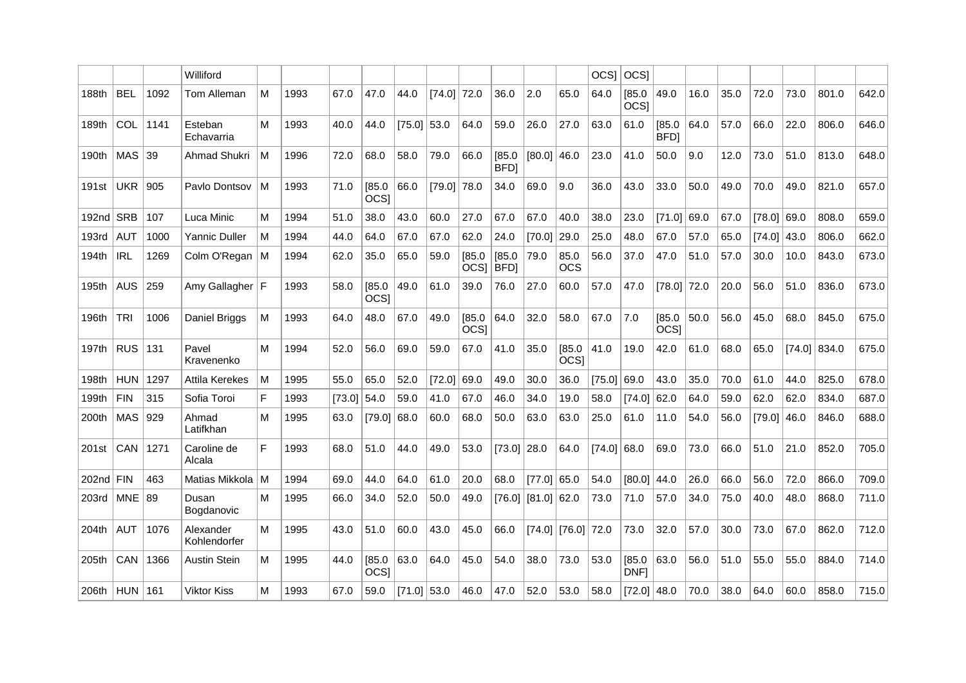|             |            |      | Williford                 |   |      |        |                       |               |        |                       |                       |               |                            | <b>OCSI</b> | <b>OCSI</b>                |                       |      |      |               |        |       |       |
|-------------|------------|------|---------------------------|---|------|--------|-----------------------|---------------|--------|-----------------------|-----------------------|---------------|----------------------------|-------------|----------------------------|-----------------------|------|------|---------------|--------|-------|-------|
| 188th       | <b>BEL</b> | 1092 | Tom Alleman               | M | 1993 | 67.0   | 47.0                  | 44.0          | [74.0] | 72.0                  | 36.0                  | 2.0           | 65.0                       | 64.0        | [85.0]<br>OCS <sub>I</sub> | 49.0                  | 16.0 | 35.0 | 72.0          | 73.0   | 801.0 | 642.0 |
| 189th       | COL        | 1141 | Esteban<br>Echavarria     | М | 1993 | 40.0   | 44.0                  | [75.0]        | 53.0   | 64.0                  | 59.0                  | 26.0          | 27.0                       | 63.0        | 61.0                       | [85.0<br><b>BFD</b>   | 64.0 | 57.0 | 66.0          | 22.0   | 806.0 | 646.0 |
| 190th       | <b>MAS</b> | 39   | <b>Ahmad Shukri</b>       | м | 1996 | 72.0   | 68.0                  | 58.0          | 79.0   | 66.0                  | [85.0]<br><b>BFDI</b> | [80.0]        | 46.0                       | 23.0        | 41.0                       | 50.0                  | 9.0  | 12.0 | 73.0          | 51.0   | 813.0 | 648.0 |
| 191st       | <b>UKR</b> | 905  | Pavlo Dontsov             | м | 1993 | 71.0   | [85.0]<br><b>OCSI</b> | 66.0          | [79.0] | 78.0                  | 34.0                  | 69.0          | 9.0                        | 36.0        | 43.0                       | 33.0                  | 50.0 | 49.0 | 70.0          | 49.0   | 821.0 | 657.0 |
| 192nd $SRB$ |            | 107  | Luca Minic                | м | 1994 | 51.0   | 38.0                  | 43.0          | 60.0   | 27.0                  | 67.0                  | 67.0          | 40.0                       | 38.0        | 23.0                       | [71.0]                | 69.0 | 67.0 | $[78.0]$ 69.0 |        | 808.0 | 659.0 |
| 193rd       | <b>AUT</b> | 1000 | <b>Yannic Duller</b>      | м | 1994 | 44.0   | 64.0                  | 67.0          | 67.0   | 62.0                  | 24.0                  | [70.0]        | 29.0                       | 25.0        | 48.0                       | 67.0                  | 57.0 | 65.0 | [74.0]        | 43.0   | 806.0 | 662.0 |
| 194th       | <b>IRL</b> | 1269 | Colm O'Regan              | M | 1994 | 62.0   | 35.0                  | 65.0          | 59.0   | [85.0]<br><b>OCSI</b> | [85.0]<br><b>BFDI</b> | 79.0          | 85.0<br><b>OCS</b>         | 56.0        | 37.0                       | 47.0                  | 51.0 | 57.0 | 30.0          | 10.0   | 843.0 | 673.0 |
| 195th       | <b>AUS</b> | 259  | Amy Gallagher   F         |   | 1993 | 58.0   | [85.0]<br><b>OCSI</b> | 49.0          | 61.0   | 39.0                  | 76.0                  | 27.0          | 60.0                       | 57.0        | 47.0                       | [78.0]                | 72.0 | 20.0 | 56.0          | 51.0   | 836.0 | 673.0 |
| 196th       | <b>TRI</b> | 1006 | Daniel Briggs             | м | 1993 | 64.0   | 48.0                  | 67.0          | 49.0   | [85.0]<br><b>OCSI</b> | 64.0                  | 32.0          | 58.0                       | 67.0        | 7.0                        | [85.0]<br><b>OCSI</b> | 50.0 | 56.0 | 45.0          | 68.0   | 845.0 | 675.0 |
| 197th       | <b>RUS</b> | 131  | Pavel<br>Kravenenko       | М | 1994 | 52.0   | 56.0                  | 69.0          | 59.0   | 67.0                  | 41.0                  | 35.0          | [85.0]<br>OCS <sub>1</sub> | 41.0        | 19.0                       | 42.0                  | 61.0 | 68.0 | 65.0          | [74.0] | 834.0 | 675.0 |
| 198th       | <b>HUN</b> | 1297 | Attila Kerekes            | м | 1995 | 55.0   | 65.0                  | 52.0          | [72.0] | 69.0                  | 49.0                  | 30.0          | 36.0                       | [75.0]      | 69.0                       | 43.0                  | 35.0 | 70.0 | 61.0          | 44.0   | 825.0 | 678.0 |
| 199th       | <b>FIN</b> | 315  | Sofia Toroi               | F | 1993 | [73.0] | 54.0                  | 59.0          | 41.0   | 67.0                  | 46.0                  | 34.0          | 19.0                       | 58.0        | [74.0]                     | 62.0                  | 64.0 | 59.0 | 62.0          | 62.0   | 834.0 | 687.0 |
| 200th       | <b>MAS</b> | 929  | Ahmad<br>Latifkhan        | М | 1995 | 63.0   | [79.0]                | 68.0          | 60.0   | 68.0                  | 50.0                  | 63.0          | 63.0                       | 25.0        | 61.0                       | 11.0                  | 54.0 | 56.0 | $[79.0]$ 46.0 |        | 846.0 | 688.0 |
| 201st       | CAN        | 1271 | Caroline de<br>Alcala     | F | 1993 | 68.0   | 51.0                  | 44.0          | 49.0   | 53.0                  | [73.0]                | 28.0          | 64.0                       | [74.0]      | 68.0                       | 69.0                  | 73.0 | 66.0 | 51.0          | 21.0   | 852.0 | 705.0 |
| $202nd$ FIN |            | 463  | Matias Mikkola            | M | 1994 | 69.0   | 44.0                  | 64.0          | 61.0   | 20.0                  | 68.0                  | $[77.0]$ 65.0 |                            | 54.0        | $[80.0]$ 44.0              |                       | 26.0 | 66.0 | 56.0          | 72.0   | 866.0 | 709.0 |
| 203rd       | <b>MNE</b> | 89   | Dusan<br>Bogdanovic       | М | 1995 | 66.0   | 34.0                  | 52.0          | 50.0   | 49.0                  | [76.0]                | $[81.0]$ 62.0 |                            | 73.0        | 71.0                       | 57.0                  | 34.0 | 75.0 | 40.0          | 48.0   | 868.0 | 711.0 |
| 204th       | <b>AUT</b> | 1076 | Alexander<br>Kohlendorfer | м | 1995 | 43.0   | 51.0                  | 60.0          | 43.0   | 45.0                  | 66.0                  |               | $[74.0]$ $[76.0]$          | 72.0        | 73.0                       | 32.0                  | 57.0 | 30.0 | 73.0          | 67.0   | 862.0 | 712.0 |
| 205th       | CAN        | 1366 | <b>Austin Stein</b>       | М | 1995 | 44.0   | [85.0]<br><b>OCSI</b> | 63.0          | 64.0   | 45.0                  | 54.0                  | 38.0          | 73.0                       | 53.0        | [85.0]<br>DNF1             | 63.0                  | 56.0 | 51.0 | 55.0          | 55.0   | 884.0 | 714.0 |
| 206th       | <b>HUN</b> | 161  | Viktor Kiss               | М | 1993 | 67.0   | 59.0                  | $[71.0]$ 53.0 |        | 46.0                  | 47.0                  | 52.0          | 53.0                       | 58.0        | $[72.0]$ 48.0              |                       | 70.0 | 38.0 | 64.0          | 60.0   | 858.0 | 715.0 |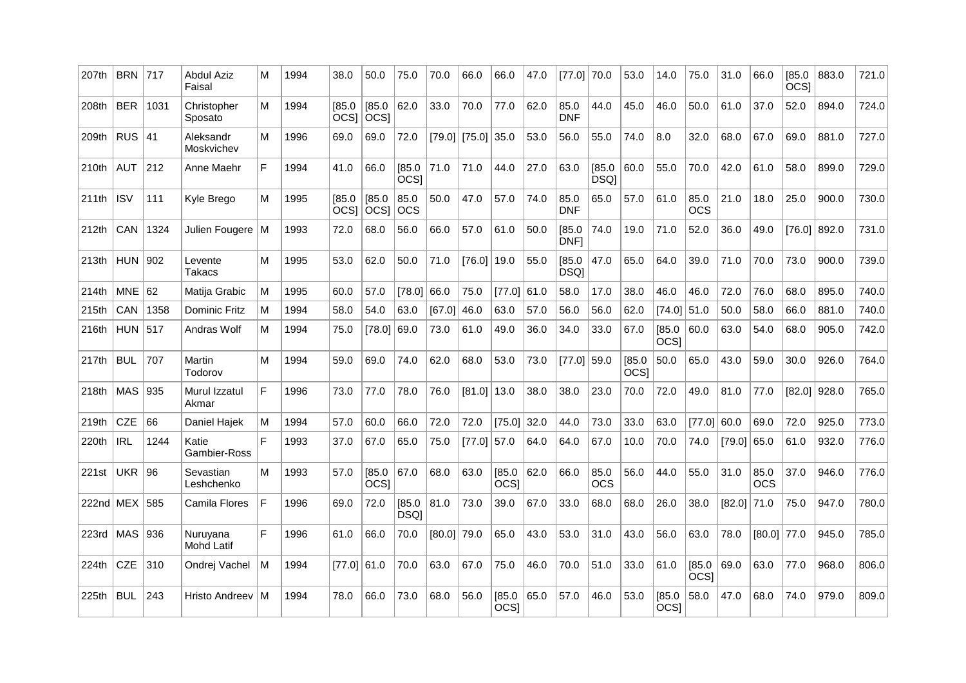| 207th       | <b>BRN</b> | 717  | <b>Abdul Aziz</b><br>Faisal   | М   | 1994 | 38.0                       | 50.0                  | 75.0                  | 70.0          | 66.0            | 66.0                  | 47.0 | [77.0]                | 70.0                  | 53.0                       | 14.0                       | 75.0                       | 31.0          | 66.0               | [85.0]<br>OCS <sub>1</sub> | 883.0 | 721.0 |
|-------------|------------|------|-------------------------------|-----|------|----------------------------|-----------------------|-----------------------|---------------|-----------------|-----------------------|------|-----------------------|-----------------------|----------------------------|----------------------------|----------------------------|---------------|--------------------|----------------------------|-------|-------|
| 208th       | <b>BER</b> | 1031 | Christopher<br>Sposato        | М   | 1994 | [85.0]<br>OCS <sub>I</sub> | [85.0]<br><b>OCSI</b> | 62.0                  | 33.0          | 70.0            | 77.0                  | 62.0 | 85.0<br><b>DNF</b>    | 44.0                  | 45.0                       | 46.0                       | 50.0                       | 61.0          | 37.0               | 52.0                       | 894.0 | 724.0 |
| 209th       | $RUS$ 41   |      | Aleksandr<br>Moskvichev       | М   | 1996 | 69.0                       | 69.0                  | 72.0                  |               | $[79.0]$ [75.0] | 35.0                  | 53.0 | 56.0                  | 55.0                  | 74.0                       | 8.0                        | 32.0                       | 68.0          | 67.0               | 69.0                       | 881.0 | 727.0 |
| 210th       | <b>AUT</b> | 212  | Anne Maehr                    | F   | 1994 | 41.0                       | 66.0                  | [85.0]<br><b>OCSI</b> | 71.0          | 71.0            | 44.0                  | 27.0 | 63.0                  | [85.0]<br><b>DSQI</b> | 60.0                       | 55.0                       | 70.0                       | 42.0          | 61.0               | 58.0                       | 899.0 | 729.0 |
| 211th       | <b>ISV</b> | 111  | Kyle Brego                    | м   | 1995 | [85.0]<br><b>OCSI</b>      | [85.0]<br><b>OCSI</b> | 85.0<br><b>OCS</b>    | 50.0          | 47.0            | 57.0                  | 74.0 | 85.0<br><b>DNF</b>    | 65.0                  | 57.0                       | 61.0                       | 85.0<br><b>OCS</b>         | 21.0          | 18.0               | 25.0                       | 900.0 | 730.0 |
| 212th       | CAN        | 1324 | Julien Fougere                | l M | 1993 | 72.0                       | 68.0                  | 56.0                  | 66.0          | 57.0            | 61.0                  | 50.0 | [85.0]<br><b>DNF1</b> | 74.0                  | 19.0                       | 71.0                       | 52.0                       | 36.0          | 49.0               | [76.0]                     | 892.0 | 731.0 |
| 213th       | <b>HUN</b> | 902  | Levente<br>Takacs             | м   | 1995 | 53.0                       | 62.0                  | 50.0                  | 71.0          | [76.0]          | 19.0                  | 55.0 | [85.0]<br><b>DSQ</b>  | 47.0                  | 65.0                       | 64.0                       | 39.0                       | 71.0          | 70.0               | 73.0                       | 900.0 | 739.0 |
| 214th       | <b>MNE</b> | 62   | Matija Grabic                 | м   | 1995 | 60.0                       | 57.0                  | [78.0]                | 66.0          | 75.0            | [77.0]                | 61.0 | 58.0                  | 17.0                  | 38.0                       | 46.0                       | 46.0                       | 72.0          | 76.0               | 68.0                       | 895.0 | 740.0 |
| 215th       | CAN        | 1358 | Dominic Fritz                 | м   | 1994 | 58.0                       | 54.0                  | 63.0                  | [67.0]        | 46.0            | 63.0                  | 57.0 | 56.0                  | 56.0                  | 62.0                       | [74.0]                     | 51.0                       | 50.0          | 58.0               | 66.0                       | 881.0 | 740.0 |
| 216th       | HUN        | 517  | Andras Wolf                   | м   | 1994 | 75.0                       | [78.0]                | 69.0                  | 73.0          | 61.0            | 49.0                  | 36.0 | 34.0                  | 33.0                  | 67.0                       | [85.0]<br><b>OCSI</b>      | 60.0                       | 63.0          | 54.0               | 68.0                       | 905.0 | 742.0 |
| 217th       | <b>BUL</b> | 707  | Martin<br>Todorov             | м   | 1994 | 59.0                       | 69.0                  | 74.0                  | 62.0          | 68.0            | 53.0                  | 73.0 | $[77.0]$ 59.0         |                       | [85.0]<br>OCS <sub>1</sub> | 50.0                       | 65.0                       | 43.0          | 59.0               | 30.0                       | 926.0 | 764.0 |
| 218th       | <b>MAS</b> | 935  | Murul Izzatul<br>Akmar        | F   | 1996 | 73.0                       | 77.0                  | 78.0                  | 76.0          | [81.0]          | 13.0                  | 38.0 | 38.0                  | 23.0                  | 70.0                       | 72.0                       | 49.0                       | 81.0          | 77.0               | [82.0]                     | 928.0 | 765.0 |
| 219th       | <b>CZE</b> | 66   | Daniel Haiek                  | М   | 1994 | 57.0                       | 60.0                  | 66.0                  | 72.0          | 72.0            | [75.0]                | 32.0 | 44.0                  | 73.0                  | 33.0                       | 63.0                       | [77.0]                     | 60.0          | 69.0               | 72.0                       | 925.0 | 773.0 |
| 220th       | <b>IRL</b> | 1244 | Katie<br>Gambier-Ross         | F   | 1993 | 37.0                       | 67.0                  | 65.0                  | 75.0          | $[77.0]$ 57.0   |                       | 64.0 | 64.0                  | 67.0                  | 10.0                       | 70.0                       | 74.0                       | $[79.0]$ 65.0 |                    | 61.0                       | 932.0 | 776.0 |
| 221st       | <b>UKR</b> | 96   | Sevastian<br>Leshchenko       | М   | 1993 | 57.0                       | [85.0]<br><b>OCSI</b> | 67.0                  | 68.0          | 63.0            | [85.0]<br><b>OCSI</b> | 62.0 | 66.0                  | 85.0<br>ocs           | 56.0                       | 44.0                       | 55.0                       | 31.0          | 85.0<br><b>OCS</b> | 37.0                       | 946.0 | 776.0 |
| 222nd $MEX$ |            | 585  | Camila Flores                 | F   | 1996 | 69.0                       | 72.0                  | [85.0]<br><b>DSQ</b>  | 81.0          | 73.0            | 39.0                  | 67.0 | 33.0                  | 68.0                  | 68.0                       | 26.0                       | 38.0                       | $[82.0]$ 71.0 |                    | 75.0                       | 947.0 | 780.0 |
| 223rd       | MAS        | 936  | Nuruyana<br><b>Mohd Latif</b> | F   | 1996 | 61.0                       | 66.0                  | 70.0                  | $[80.0]$ 79.0 |                 | 65.0                  | 43.0 | 53.0                  | 31.0                  | 43.0                       | 56.0                       | 63.0                       | 78.0          | $[80.0]$ 77.0      |                            | 945.0 | 785.0 |
| 224th       | <b>CZE</b> | 310  | Ondrej Vachel                 | м   | 1994 | [77.0]                     | 61.0                  | 70.0                  | 63.0          | 67.0            | 75.0                  | 46.0 | 70.0                  | 51.0                  | 33.0                       | 61.0                       | [85.0]<br>OCS <sub>1</sub> | 69.0          | 63.0               | 77.0                       | 968.0 | 806.0 |
| 225th       | <b>BUL</b> | 243  | Hristo Andreev                | м   | 1994 | 78.0                       | 66.0                  | 73.0                  | 68.0          | 56.0            | [85.0]<br>OCS]        | 65.0 | 57.0                  | 46.0                  | 53.0                       | [85.0]<br>OCS <sub>I</sub> | 58.0                       | 47.0          | 68.0               | 74.0                       | 979.0 | 809.0 |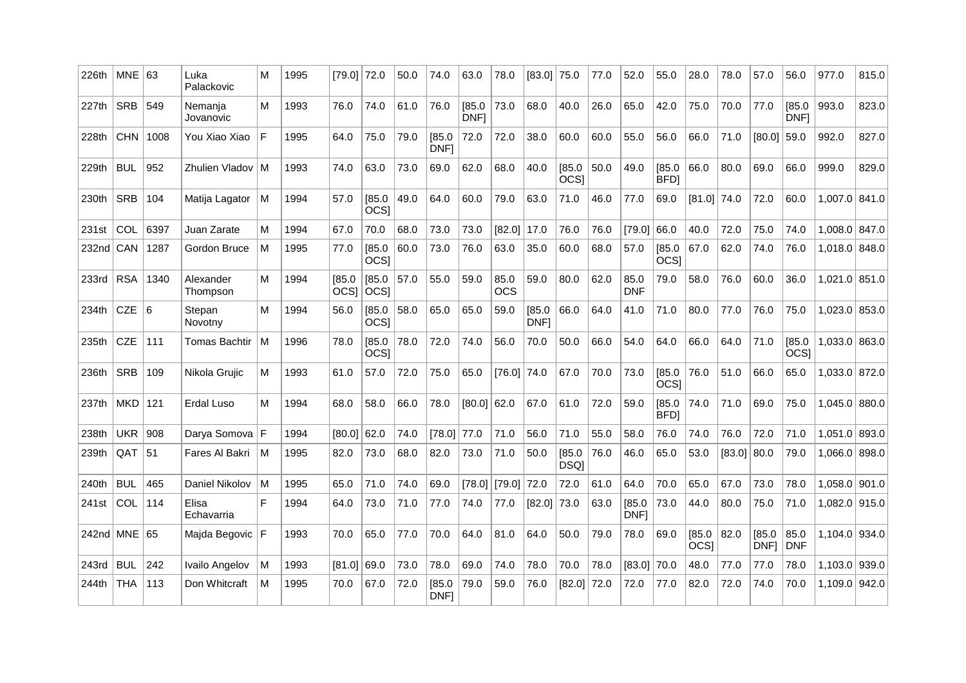| 226th | $MNE$ 63     |      | Luka<br>Palackovic    | м   | 1995 | $[79.0]$ 72.0             |                | 50.0 | 74.0           | 63.0                  | 78.0               | $[83.0]$ 75.0  |                            | 77.0 | 52.0               | 55.0                  | 28.0                  | 78.0   | 57.0           | 56.0                  | 977.0           | 815.0 |
|-------|--------------|------|-----------------------|-----|------|---------------------------|----------------|------|----------------|-----------------------|--------------------|----------------|----------------------------|------|--------------------|-----------------------|-----------------------|--------|----------------|-----------------------|-----------------|-------|
| 227th | SRB 549      |      | Nemanja<br>Jovanovic  | M   | 1993 | 76.0                      | 74.0           | 61.0 | 76.0           | [85.0]<br><b>DNF1</b> | 73.0               | 68.0           | 40.0                       | 26.0 | 65.0               | 42.0                  | 75.0                  | 70.0   | 77.0           | [85.0]<br>DNF1        | 993.0           | 823.0 |
| 228th | CHN 1008     |      | You Xiao Xiao         | F   | 1995 | 64.0                      | 75.0           | 79.0 | [85.0]<br>DNF1 | 72.0                  | 72.0               | 38.0           | 60.0                       | 60.0 | 55.0               | 56.0                  | 66.0                  | 71.0   | [80.0]         | 59.0                  | 992.0           | 827.0 |
| 229th | <b>BUL</b>   | 952  | Zhulien Vladov   M    |     | 1993 | 74.0                      | 63.0           | 73.0 | 69.0           | 62.0                  | 68.0               | 40.0           | [85.0]<br>OCS <sub>I</sub> | 50.0 | 49.0               | [85.0]<br>BFD]        | 66.0                  | 80.0   | 69.0           | 66.0                  | 999.0           | 829.0 |
| 230th | <b>SRB</b>   | 104  | Matija Lagator        | ۱M  | 1994 | 57.0                      | [85.0]<br>OCS] | 49.0 | 64.0           | 60.0                  | 79.0               | 63.0           | 71.0                       | 46.0 | 77.0               | 69.0                  | $[81.0]$ 74.0         |        | 72.0           | 60.0                  | 1,007.0 841.0   |       |
| 231st | COL          | 6397 | Juan Zarate           | М   | 1994 | 67.0                      | 70.0           | 68.0 | 73.0           | 73.0                  | $[82.0]$ 17.0      |                | 76.0                       | 76.0 | [79.0]             | 66.0                  | 40.0                  | 72.0   | 75.0           | 74.0                  | $1.008.0$ 847.0 |       |
| 232nd | CAN          | 1287 | Gordon Bruce          | M   | 1995 | 77.0                      | [85.0]<br>OCS] | 60.0 | 73.0           | 76.0                  | 63.0               | 35.0           | 60.0                       | 68.0 | 57.0               | [85.0]<br><b>OCSI</b> | 67.0                  | 62.0   | 74.0           | 76.0                  | $1,018.0$ 848.0 |       |
| 233rd | <b>RSA</b>   | 1340 | Alexander<br>Thompson | м   | 1994 | [85.0]<br>$ OCS $ $ OCS $ | [85.0]         | 57.0 | 55.0           | 59.0                  | 85.0<br><b>OCS</b> | 59.0           | 80.0                       | 62.0 | 85.0<br><b>DNF</b> | 79.0                  | 58.0                  | 76.0   | 60.0           | 36.0                  | $1,021.0$ 851.0 |       |
| 234th | CZE $ 6$     |      | Stepan<br>Novotny     | M   | 1994 | 56.0                      | [85.0]<br>OCS] | 58.0 | 65.0           | 65.0                  | 59.0               | [85.0]<br>DNF] | 66.0                       | 64.0 | 41.0               | 71.0                  | 80.0                  | 77.0   | 76.0           | 75.0                  | 1,023.0 853.0   |       |
| 235th | <b>CZE</b>   | 111  | Tomas Bachtir         | l M | 1996 | 78.0                      | [85.0]<br>OCS] | 78.0 | 72.0           | 74.0                  | 56.0               | 70.0           | 50.0                       | 66.0 | 54.0               | 64.0                  | 66.0                  | 64.0   | 71.0           | [85.0]<br><b>OCSI</b> | $1.033.0$ 863.0 |       |
| 236th | <b>SRB</b>   | 109  | Nikola Grujic         | м   | 1993 | 61.0                      | 57.0           | 72.0 | 75.0           | 65.0                  | $[76.0]$ 74.0      |                | 67.0                       | 70.0 | 73.0               | [85.0]<br><b>OCSI</b> | 76.0                  | 51.0   | 66.0           | 65.0                  | 1,033.0 872.0   |       |
| 237th | $MKD$ 121    |      | Erdal Luso            | М   | 1994 | 68.0                      | 58.0           | 66.0 | 78.0           | $[80.0]$ 62.0         |                    | 67.0           | 61.0                       | 72.0 | 59.0               | [85.0]<br>BFD1        | 74.0                  | 71.0   | 69.0           | 75.0                  | $1,045.0$ 880.0 |       |
| 238th | UKR   908    |      | Darya Somova   F      |     | 1994 | $[80.0]$ 62.0             |                | 74.0 | $[78.0]$ 77.0  |                       | 71.0               | 56.0           | 71.0                       | 55.0 | 58.0               | 76.0                  | 74.0                  | 76.0   | 72.0           | 71.0                  | 1.051.0 893.0   |       |
| 239th | QAT          | 51   | Fares Al Bakri        | l M | 1995 | 82.0                      | 73.0           | 68.0 | 82.0           | 73.0                  | 71.0               | 50.0           | [85.0]<br>DSQ]             | 76.0 | 46.0               | 65.0                  | 53.0                  | [83.0] | 80.0           | 79.0                  | $1,066.0$ 898.0 |       |
| 240th | <b>BUL</b>   | 465  | Daniel Nikolov        | ۱M  | 1995 | 65.0                      | 71.0           | 74.0 | 69.0           | [78.0]                | [79.0]   72.0      |                | 72.0                       | 61.0 | 64.0               | 70.0                  | 65.0                  | 67.0   | 73.0           | 78.0                  | 1,058.0 901.0   |       |
| 241st | <b>COL</b>   | 114  | Elisa<br>Echavarria   | F   | 1994 | 64.0                      | 73.0           | 71.0 | 77.0           | 74.0                  | 77.0               | $[82.0]$ 73.0  |                            | 63.0 | [85.0]<br>DNF1     | 73.0                  | 44.0                  | 80.0   | 75.0           | 71.0                  | 1,082.0 915.0   |       |
|       | 242nd MNE 65 |      | Majda Begovic   F     |     | 1993 | 70.0                      | 65.0           | 77.0 | 70.0           | 64.0                  | 81.0               | 64.0           | 50.0                       | 79.0 | 78.0               | 69.0                  | [85.0]<br><b>OCSI</b> | 82.0   | [85.0]<br>DNF1 | 85.0<br>DNF           | 1,104.0 934.0   |       |
| 243rd | <b>BUL</b>   | 242  | <b>Ivailo Angelov</b> | M   | 1993 | [81.0]                    | 69.0           | 73.0 | 78.0           | 69.0                  | 74.0               | 78.0           | 70.0                       | 78.0 | [83.0]             | 70.0                  | 48.0                  | 77.0   | 77.0           | 78.0                  | 1,103.0 939.0   |       |
| 244th | <b>THA</b>   | 113  | Don Whitcraft         | м   | 1995 | 70.0                      | 67.0           | 72.0 | [85.0]<br>DNF] | 79.0                  | 59.0               | 76.0           | [82.0]                     | 72.0 | 72.0               | 77.0                  | 82.0                  | 72.0   | 74.0           | 70.0                  | 1,109.0         | 942.0 |